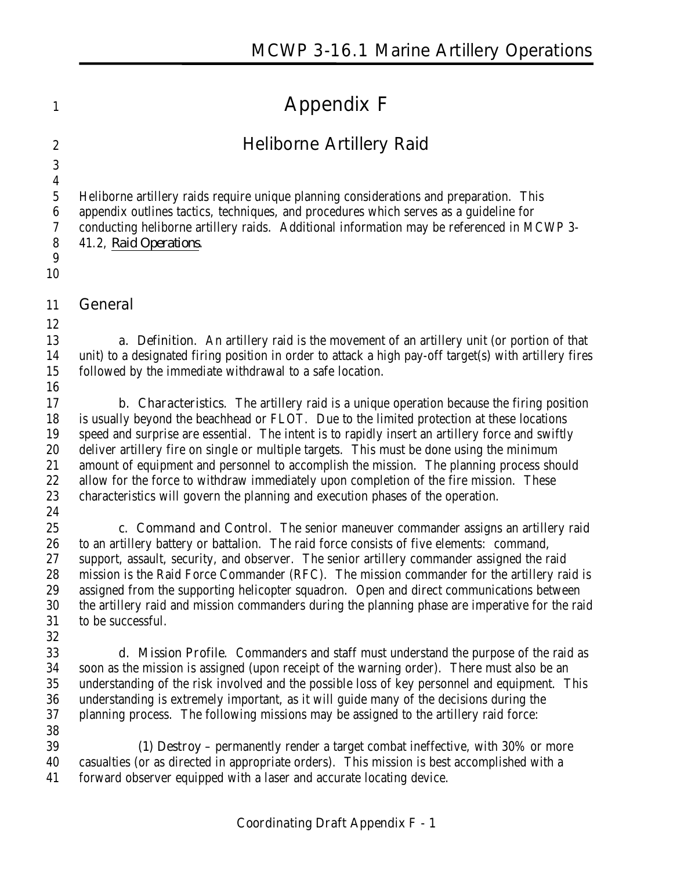# **Appendix F**

# **Heliborne Artillery Raid**

 Heliborne artillery raids require unique planning considerations and preparation. This appendix outlines tactics, techniques, and procedures which serves as a guideline for conducting heliborne artillery raids. Additional information may be referenced in MCWP 3-

- 41.2, *Raid Operations*.
- 

#### **General**

 **a. Definition**. An artillery raid is the movement of an artillery unit (or portion of that unit) to a designated firing position in order to attack a high pay-off target(s) with artillery fires followed by the immediate withdrawal to a safe location.

 **b. Characteristics**. The artillery raid is a unique operation because the firing position is usually beyond the beachhead or FLOT. Due to the limited protection at these locations speed and surprise are essential. The intent is to rapidly insert an artillery force and swiftly deliver artillery fire on single or multiple targets. This must be done using the minimum amount of equipment and personnel to accomplish the mission. The planning process should 22 allow for the force to withdraw immediately upon completion of the fire mission. These characteristics will govern the planning and execution phases of the operation.

 **c. Command and Control**. The senior maneuver commander assigns an artillery raid to an artillery battery or battalion. The raid force consists of five elements: command, 27 support, assault, security, and observer. The senior artillery commander assigned the raid mission is the Raid Force Commander (RFC). The mission commander for the artillery raid is assigned from the supporting helicopter squadron. Open and direct communications between the artillery raid and mission commanders during the planning phase are imperative for the raid to be successful.

 **d. Mission Profile**. Commanders and staff must understand the purpose of the raid as soon as the mission is assigned (upon receipt of the warning order). There must also be an understanding of the risk involved and the possible loss of key personnel and equipment. This understanding is extremely important, as it will guide many of the decisions during the planning process. The following missions may be assigned to the artillery raid force:

**(1) Destroy** – permanently render a target combat ineffective, with 30% or more casualties (or as directed in appropriate orders). This mission is best accomplished with a forward observer equipped with a laser and accurate locating device.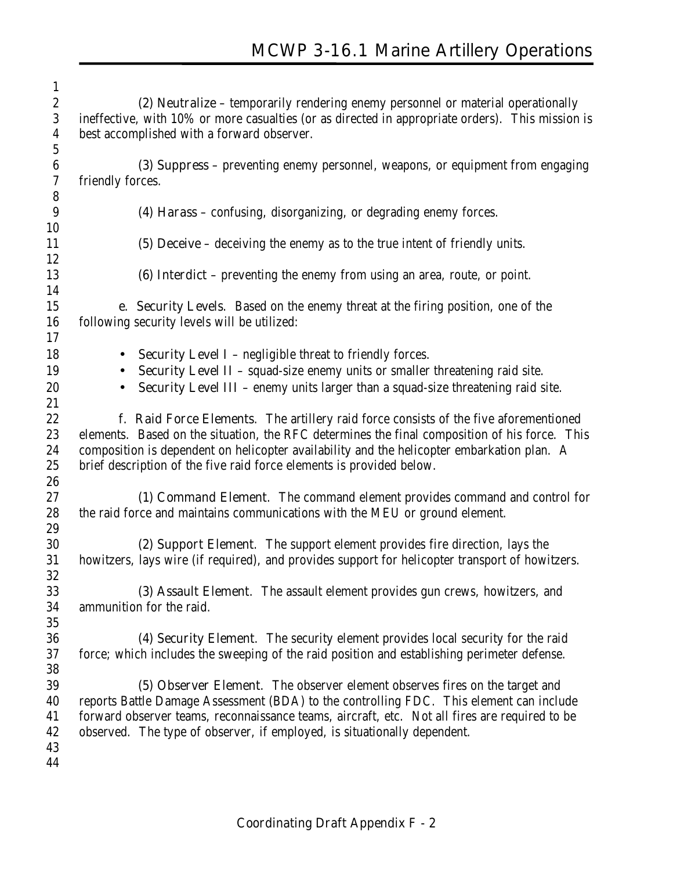| $\mathbf{1}$     |                                                                                                  |
|------------------|--------------------------------------------------------------------------------------------------|
| $\boldsymbol{2}$ | (2) Neutralize – temporarily rendering enemy personnel or material operationally                 |
| $\boldsymbol{3}$ | ineffective, with 10% or more casualties (or as directed in appropriate orders). This mission is |
| 4                | best accomplished with a forward observer.                                                       |
| $5\,$            |                                                                                                  |
| $6\phantom{.}6$  | (3) Suppress – preventing enemy personnel, weapons, or equipment from engaging                   |
| 7                | friendly forces.                                                                                 |
| $\bf 8$          |                                                                                                  |
| 9                | (4) Harass - confusing, disorganizing, or degrading enemy forces.                                |
| 10               |                                                                                                  |
| 11               | (5) Deceive $-$ deceiving the enemy as to the true intent of friendly units.                     |
| 12               |                                                                                                  |
| 13               | <b>(6) Interdict</b> – preventing the enemy from using an area, route, or point.                 |
| 14               |                                                                                                  |
| 15               | e. Security Levels. Based on the enemy threat at the firing position, one of the                 |
| 16               | following security levels will be utilized:                                                      |
| 17               |                                                                                                  |
| 18               | <b>Security Level I</b> - negligible threat to friendly forces.<br>$\bullet$                     |
| 19               | <b>Security Level II</b> - squad-size enemy units or smaller threatening raid site.<br>$\bullet$ |
| 20               | Security Level III - enemy units larger than a squad-size threatening raid site.                 |
| 21               |                                                                                                  |
| 22               | f. Raid Force Elements. The artillery raid force consists of the five aforementioned             |
| 23               | elements. Based on the situation, the RFC determines the final composition of his force. This    |
| 24               | composition is dependent on helicopter availability and the helicopter embarkation plan. A       |
| 25               | brief description of the five raid force elements is provided below.                             |
| 26               |                                                                                                  |
| 27               | (1) Command Element. The command element provides command and control for                        |
| 28               | the raid force and maintains communications with the MEU or ground element.                      |
| 29               |                                                                                                  |
| 30               | (2) Support Element. The support element provides fire direction, lays the                       |
| 31               | howitzers, lays wire (if required), and provides support for helicopter transport of howitzers.  |
| 32               |                                                                                                  |
| 33               | (3) Assault Element. The assault element provides gun crews, howitzers, and                      |
| 34               | ammunition for the raid.                                                                         |
| 35               |                                                                                                  |
| 36               | (4) Security Element. The security element provides local security for the raid                  |
| 37               | force; which includes the sweeping of the raid position and establishing perimeter defense.      |
| 38               |                                                                                                  |
| 39               | (5) Observer Element. The observer element observes fires on the target and                      |
| 40               | reports Battle Damage Assessment (BDA) to the controlling FDC. This element can include          |
| 41               | forward observer teams, reconnaissance teams, aircraft, etc. Not all fires are required to be    |
| 42               | observed. The type of observer, if employed, is situationally dependent.                         |
| 43               |                                                                                                  |
| 44               |                                                                                                  |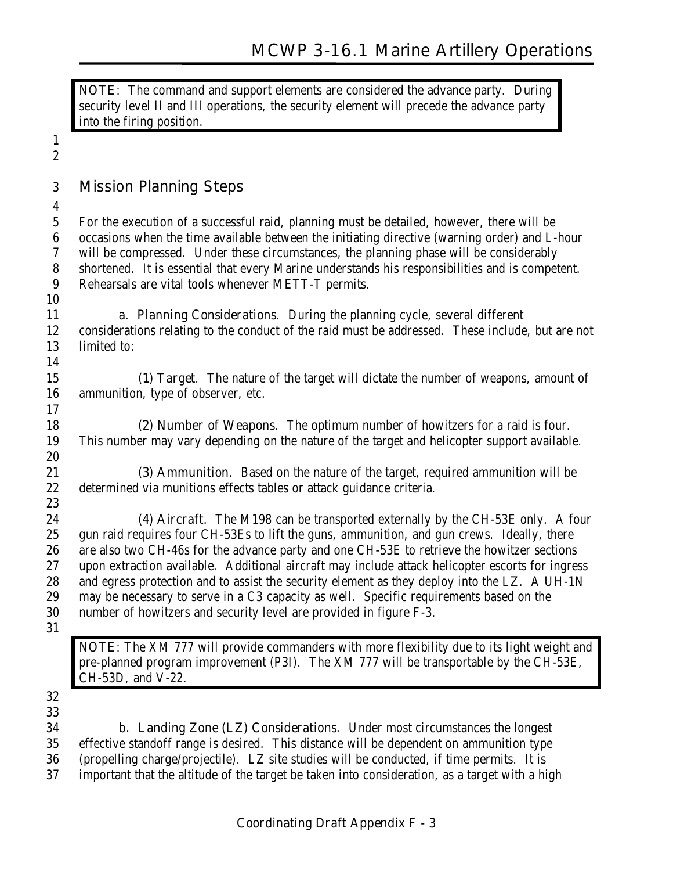**NOTE:** The command and support elements are considered the advance party. During security level II and III operations, the security element will precede the advance party into the firing position.

| $\boldsymbol{2}$                   |                                                                                                                                                        |
|------------------------------------|--------------------------------------------------------------------------------------------------------------------------------------------------------|
| $\boldsymbol{3}$                   | <b>Mission Planning Steps</b>                                                                                                                          |
| $\boldsymbol{4}$<br>$\overline{5}$ | For the execution of a successful raid, planning must be detailed, however, there will be                                                              |
| $\boldsymbol{6}$                   | occasions when the time available between the initiating directive (warning order) and L-hour                                                          |
| $\sqrt{7}$                         | will be compressed. Under these circumstances, the planning phase will be considerably                                                                 |
| 8<br>$\boldsymbol{9}$              | shortened. It is essential that every Marine understands his responsibilities and is competent.<br>Rehearsals are vital tools whenever METT-T permits. |
| 10                                 |                                                                                                                                                        |
| 11                                 | <b>a. Planning Considerations.</b> During the planning cycle, several different                                                                        |
| 12                                 | considerations relating to the conduct of the raid must be addressed. These include, but are not                                                       |
| 13                                 | limited to:                                                                                                                                            |
| 14                                 |                                                                                                                                                        |
| 15                                 | (1) Target. The nature of the target will dictate the number of weapons, amount of                                                                     |
| 16                                 | ammunition, type of observer, etc.                                                                                                                     |
| 17                                 |                                                                                                                                                        |
| 18                                 | (2) Number of Weapons. The optimum number of howitzers for a raid is four.                                                                             |
| 19<br>20                           | This number may vary depending on the nature of the target and helicopter support available.                                                           |
| 21                                 | (3) Ammunition. Based on the nature of the target, required ammunition will be                                                                         |
| $22\,$                             | determined via munitions effects tables or attack guidance criteria.                                                                                   |
| 23                                 |                                                                                                                                                        |
| 24                                 | (4) Aircraft. The M198 can be transported externally by the CH-53E only. A four                                                                        |
| 25                                 | gun raid requires four CH-53Es to lift the guns, ammunition, and gun crews. Ideally, there                                                             |
| 26                                 | are also two CH-46s for the advance party and one CH-53E to retrieve the howitzer sections                                                             |
| 27                                 | upon extraction available. Additional aircraft may include attack helicopter escorts for ingress                                                       |
| 28                                 | and egress protection and to assist the security element as they deploy into the LZ. A UH-1N                                                           |
| 29                                 | may be necessary to serve in a C3 capacity as well. Specific requirements based on the                                                                 |
| 30<br>31                           | number of howitzers and security level are provided in figure F-3.                                                                                     |
|                                    |                                                                                                                                                        |
|                                    | NOTE: The XM 777 will provide commanders with more flexibility due to its light weight and                                                             |
|                                    | pre-planned program improvement (P3I). The XM 777 will be transportable by the CH-53E,<br>$CH-53D$ , and $V-22$ .                                      |
| $32\,$                             |                                                                                                                                                        |
| 33                                 |                                                                                                                                                        |
| 34                                 | <b>b. Landing Zone (LZ) Considerations.</b> Under most circumstances the longest                                                                       |
| 35                                 | effective standoff range is desired. This distance will be dependent on ammunition type                                                                |
| 36                                 | (propelling charge/projectile). LZ site studies will be conducted, if time permits. It is                                                              |
| 37                                 | important that the altitude of the target be taken into consideration, as a target with a high                                                         |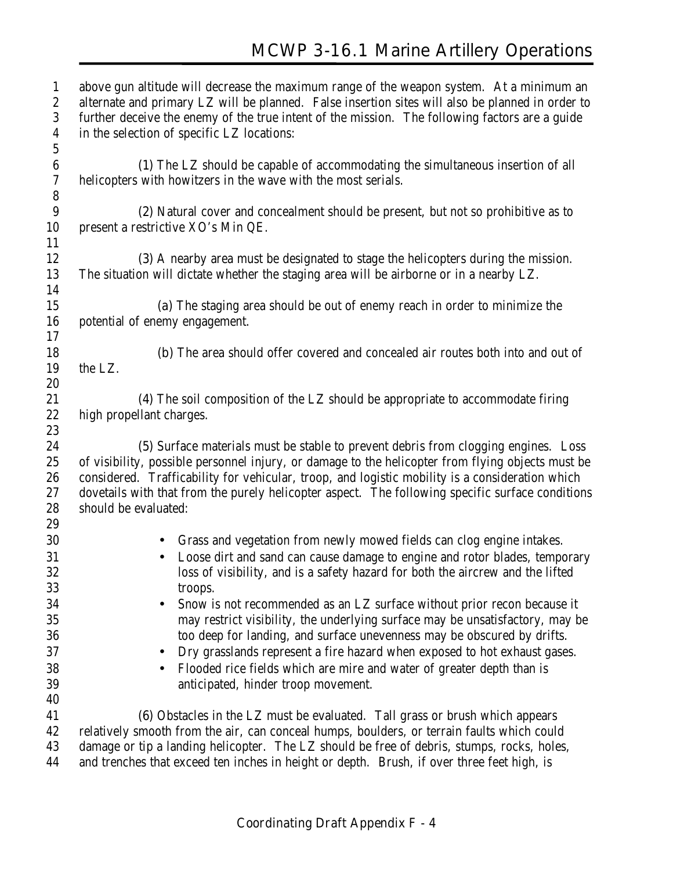# **MCWP 3-16.1 Marine Artillery Operations**

| $\mathbf{1}$     | above gun altitude will decrease the maximum range of the weapon system. At a minimum an          |
|------------------|---------------------------------------------------------------------------------------------------|
| $\boldsymbol{2}$ | alternate and primary LZ will be planned. False insertion sites will also be planned in order to  |
| 3                | further deceive the enemy of the true intent of the mission. The following factors are a guide    |
| $\boldsymbol{4}$ | in the selection of specific LZ locations:                                                        |
| $\mathbf 5$      |                                                                                                   |
| $\bf 6$          | (1) The LZ should be capable of accommodating the simultaneous insertion of all                   |
| $\boldsymbol{7}$ | helicopters with howitzers in the wave with the most serials.                                     |
| $\bf 8$          |                                                                                                   |
| 9                | (2) Natural cover and concealment should be present, but not so prohibitive as to                 |
| 10               | present a restrictive XO's Min QE.                                                                |
| 11               |                                                                                                   |
| 12               | (3) A nearby area must be designated to stage the helicopters during the mission.                 |
| 13               | The situation will dictate whether the staging area will be airborne or in a nearby LZ.           |
| 14               |                                                                                                   |
| 15               | (a) The staging area should be out of enemy reach in order to minimize the                        |
| 16               | potential of enemy engagement.                                                                    |
| 17               |                                                                                                   |
| 18               | (b) The area should offer covered and concealed air routes both into and out of                   |
| 19               | the LZ.                                                                                           |
| 20               |                                                                                                   |
| 21               | (4) The soil composition of the LZ should be appropriate to accommodate firing                    |
| 22               | high propellant charges.                                                                          |
| 23               |                                                                                                   |
| 24               | (5) Surface materials must be stable to prevent debris from clogging engines. Loss                |
| 25               | of visibility, possible personnel injury, or damage to the helicopter from flying objects must be |
| 26               | considered. Trafficability for vehicular, troop, and logistic mobility is a consideration which   |
| 27               | dovetails with that from the purely helicopter aspect. The following specific surface conditions  |
| 28               | should be evaluated:                                                                              |
| 29               |                                                                                                   |
| 30               | Grass and vegetation from newly mowed fields can clog engine intakes.                             |
| 31               | Loose dirt and sand can cause damage to engine and rotor blades, temporary                        |
| $32\,$           | loss of visibility, and is a safety hazard for both the aircrew and the lifted                    |
| 33               | troops.                                                                                           |
| 34               | Snow is not recommended as an LZ surface without prior recon because it                           |
| 35               | may restrict visibility, the underlying surface may be unsatisfactory, may be                     |
| 36               | too deep for landing, and surface unevenness may be obscured by drifts.                           |
| 37               | Dry grasslands represent a fire hazard when exposed to hot exhaust gases.                         |
| 38               | Flooded rice fields which are mire and water of greater depth than is                             |
| 39               | anticipated, hinder troop movement.                                                               |
| 40               |                                                                                                   |
| 41               | (6) Obstacles in the LZ must be evaluated. Tall grass or brush which appears                      |
| 42               | relatively smooth from the air, can conceal humps, boulders, or terrain faults which could        |
| 43               | damage or tip a landing helicopter. The LZ should be free of debris, stumps, rocks, holes,        |
| 44               | and trenches that exceed ten inches in height or depth. Brush, if over three feet high, is        |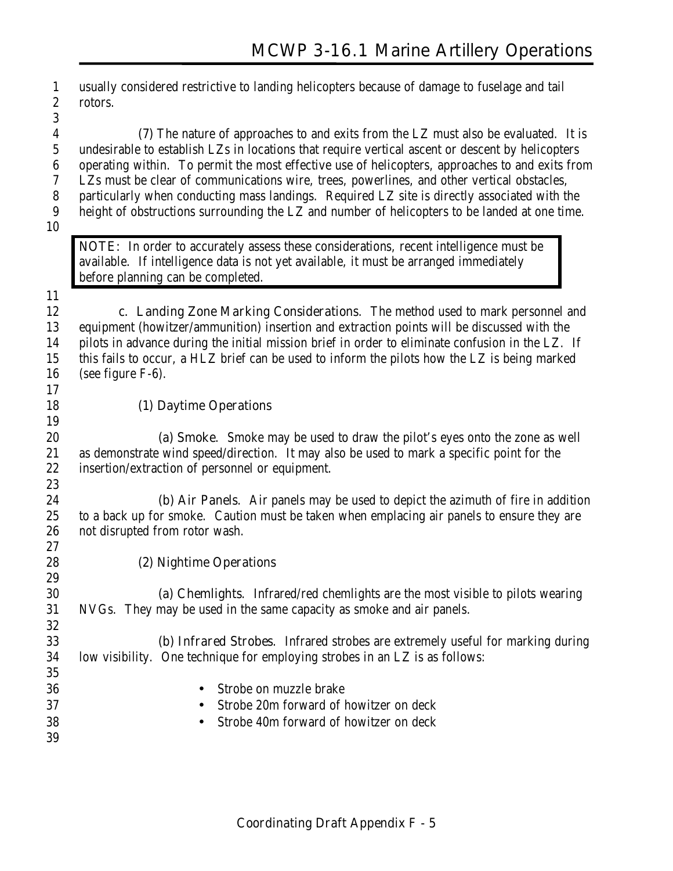usually considered restrictive to landing helicopters because of damage to fuselage and tail rotors.

 **(7)** The nature of approaches to and exits from the LZ must also be evaluated. It is undesirable to establish LZs in locations that require vertical ascent or descent by helicopters operating within. To permit the most effective use of helicopters, approaches to and exits from LZs must be clear of communications wire, trees, powerlines, and other vertical obstacles, particularly when conducting mass landings. Required LZ site is directly associated with the height of obstructions surrounding the LZ and number of helicopters to be landed at one time.

**NOTE:** In order to accurately assess these considerations, recent intelligence must be available. If intelligence data is not yet available, it must be arranged immediately before planning can be completed.

 **c. Landing Zone Marking Considerations**. The method used to mark personnel and equipment (howitzer/ammunition) insertion and extraction points will be discussed with the pilots in advance during the initial mission brief in order to eliminate confusion in the LZ. If this fails to occur, a HLZ brief can be used to inform the pilots how the LZ is being marked (see figure F-6).

#### **(1) Daytime Operations**

 **(a) Smoke**. Smoke may be used to draw the pilot's eyes onto the zone as well as demonstrate wind speed/direction. It may also be used to mark a specific point for the insertion/extraction of personnel or equipment. 

 **(b) Air Panels**. Air panels may be used to depict the azimuth of fire in addition to a back up for smoke. Caution must be taken when emplacing air panels to ensure they are not disrupted from rotor wash. 

**(2) Nightime Operations**

 **(a) Chemlights**. Infrared/red chemlights are the most visible to pilots wearing NVGs. They may be used in the same capacity as smoke and air panels. 

 **(b) Infrared Strobes**. Infrared strobes are extremely useful for marking during low visibility. One technique for employing strobes in an LZ is as follows:

 • Strobe on muzzle brake • Strobe 20m forward of howitzer on deck • Strobe 40m forward of howitzer on deck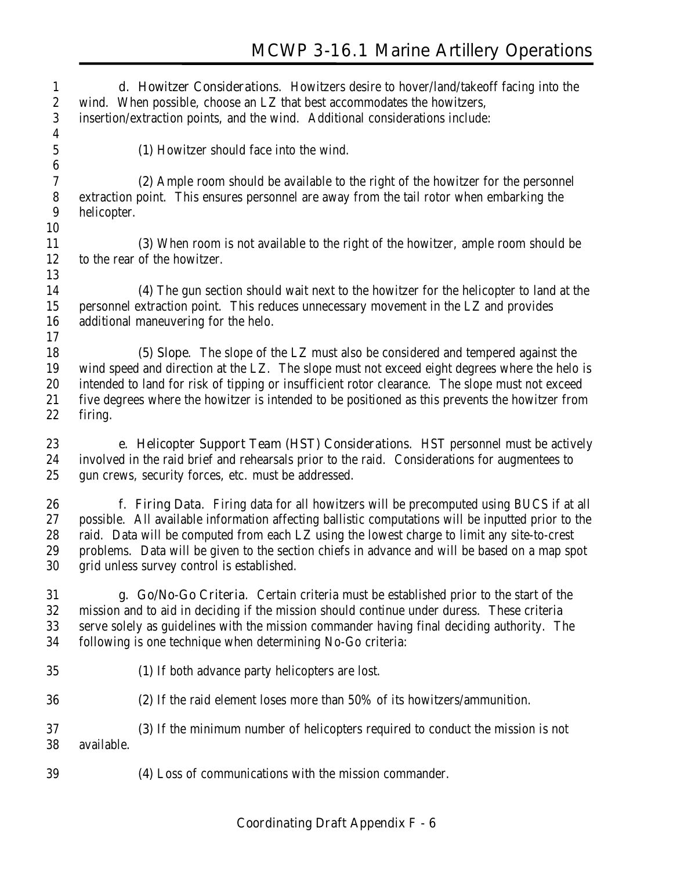**d. Howitzer Considerations**. Howitzers desire to hover/land/takeoff facing into the wind. When possible, choose an LZ that best accommodates the howitzers, insertion/extraction points, and the wind. Additional considerations include:  **(1)** Howitzer should face into the wind. **(2)** Ample room should be available to the right of the howitzer for the personnel extraction point. This ensures personnel are away from the tail rotor when embarking the helicopter. **(3)** When room is not available to the right of the howitzer, ample room should be to the rear of the howitzer. **(4)** The gun section should wait next to the howitzer for the helicopter to land at the personnel extraction point. This reduces unnecessary movement in the LZ and provides additional maneuvering for the helo. **(5) Slope**. The slope of the LZ must also be considered and tempered against the wind speed and direction at the LZ. The slope must not exceed eight degrees where the helo is intended to land for risk of tipping or insufficient rotor clearance. The slope must not exceed five degrees where the howitzer is intended to be positioned as this prevents the howitzer from firing. **e. Helicopter Support Team (HST) Considerations**. HST personnel must be actively involved in the raid brief and rehearsals prior to the raid. Considerations for augmentees to gun crews, security forces, etc. must be addressed. **f**. **Firing Data**. Firing data for all howitzers will be precomputed using BUCS if at all possible. All available information affecting ballistic computations will be inputted prior to the raid. Data will be computed from each LZ using the lowest charge to limit any site-to-crest problems. Data will be given to the section chiefs in advance and will be based on a map spot grid unless survey control is established. **g. Go/No-Go Criteria**. Certain criteria must be established prior to the start of the mission and to aid in deciding if the mission should continue under duress. These criteria serve solely as guidelines with the mission commander having final deciding authority. The following is one technique when determining No-Go criteria:  **(1)** If both advance party helicopters are lost. **(2)** If the raid element loses more than 50% of its howitzers/ammunition. **(3)** If the minimum number of helicopters required to conduct the mission is not available. **(4)** Loss of communications with the mission commander.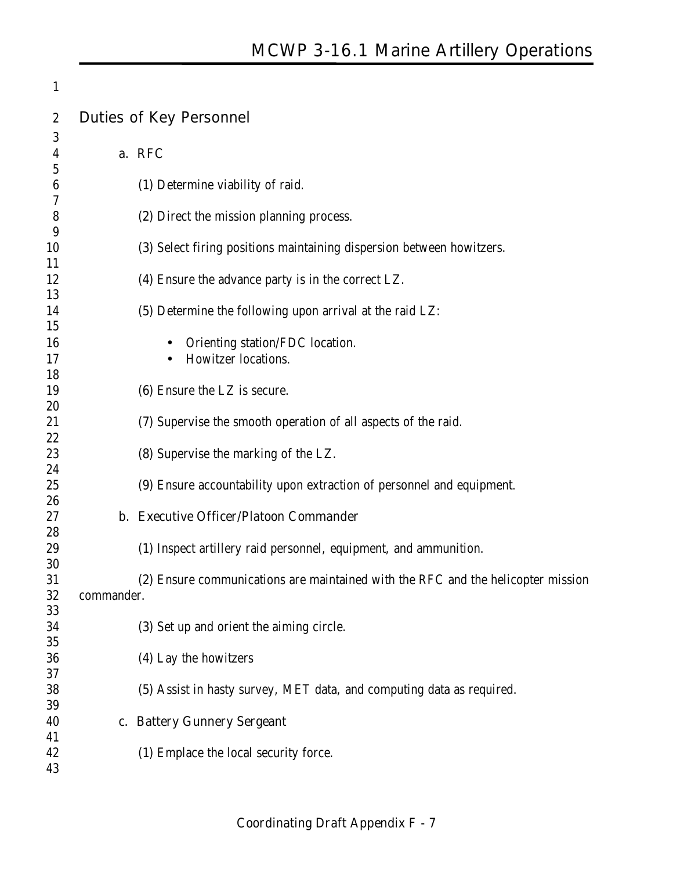| 1                |            |                                                                                  |
|------------------|------------|----------------------------------------------------------------------------------|
| $\boldsymbol{2}$ |            | <b>Duties of Key Personnel</b>                                                   |
| 3<br>4           |            | a. RFC                                                                           |
| 5<br>6<br>7      |            | (1) Determine viability of raid.                                                 |
| 8<br>9           |            | (2) Direct the mission planning process.                                         |
| 10<br>11         |            | (3) Select firing positions maintaining dispersion between howitzers.            |
| 12<br>13         |            | (4) Ensure the advance party is in the correct LZ.                               |
| 14<br>15         |            | (5) Determine the following upon arrival at the raid LZ:                         |
| 16<br>17         |            | Orienting station/FDC location.<br>Howitzer locations.                           |
| 18<br>19<br>20   |            | (6) Ensure the LZ is secure.                                                     |
| 21<br>22         |            | (7) Supervise the smooth operation of all aspects of the raid.                   |
| 23<br>24         |            | (8) Supervise the marking of the LZ.                                             |
| 25<br>26         |            | (9) Ensure accountability upon extraction of personnel and equipment.            |
| 27<br>28         |            | b. Executive Officer/Platoon Commander                                           |
| 29<br>30         |            | (1) Inspect artillery raid personnel, equipment, and ammunition.                 |
| 31<br>32         | commander. | (2) Ensure communications are maintained with the RFC and the helicopter mission |
| 33<br>34         |            | (3) Set up and orient the aiming circle.                                         |
| 35<br>36<br>37   |            | (4) Lay the howitzers                                                            |
| 38<br>39         |            | (5) Assist in hasty survey, MET data, and computing data as required.            |
| 40<br>41         |            | c. Battery Gunnery Sergeant                                                      |
| 42<br>43         |            | (1) Emplace the local security force.                                            |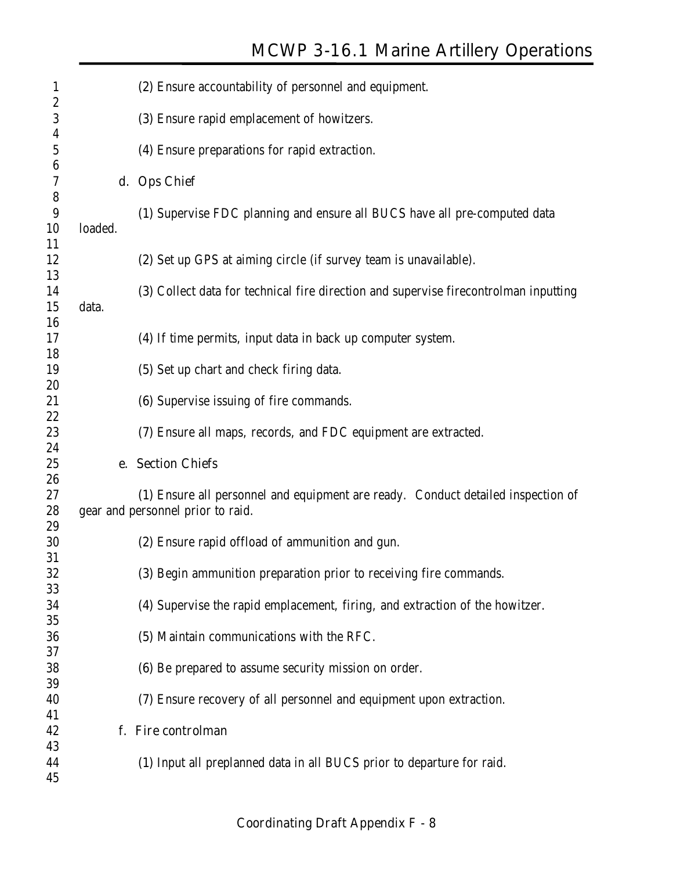# **MCWP 3-16.1 Marine Artillery Operations**

|       | (2) Ensure accountability of personnel and equipment.                                |
|-------|--------------------------------------------------------------------------------------|
|       | (3) Ensure rapid emplacement of howitzers.                                           |
|       | (4) Ensure preparations for rapid extraction.                                        |
|       | d. Ops Chief                                                                         |
|       | (1) Supervise FDC planning and ensure all BUCS have all pre-computed data            |
|       |                                                                                      |
|       |                                                                                      |
|       | (2) Set up GPS at aiming circle (if survey team is unavailable).                     |
|       |                                                                                      |
|       | (3) Collect data for technical fire direction and supervise firecontrolman inputting |
| data. |                                                                                      |
|       |                                                                                      |
|       | (4) If time permits, input data in back up computer system.                          |
|       |                                                                                      |
|       | (5) Set up chart and check firing data.                                              |
|       |                                                                                      |
|       | (6) Supervise issuing of fire commands.                                              |
|       |                                                                                      |
|       | (7) Ensure all maps, records, and FDC equipment are extracted.                       |
|       |                                                                                      |
|       | e. Section Chiefs                                                                    |
|       |                                                                                      |
|       | (1) Ensure all personnel and equipment are ready. Conduct detailed inspection of     |
|       | gear and personnel prior to raid.                                                    |
|       |                                                                                      |
|       | (2) Ensure rapid offload of ammunition and gun.                                      |
|       |                                                                                      |
|       | (3) Begin ammunition preparation prior to receiving fire commands.                   |
|       |                                                                                      |
|       | (4) Supervise the rapid emplacement, firing, and extraction of the howitzer.         |
|       |                                                                                      |
|       | (5) Maintain communications with the RFC.                                            |
|       |                                                                                      |
|       | (6) Be prepared to assume security mission on order.                                 |
|       |                                                                                      |
|       |                                                                                      |
|       | (7) Ensure recovery of all personnel and equipment upon extraction.                  |
|       |                                                                                      |
|       | f. Fire controlman                                                                   |
|       | (1) Input all preplanned data in all BUCS prior to departure for raid.               |
|       | loaded.                                                                              |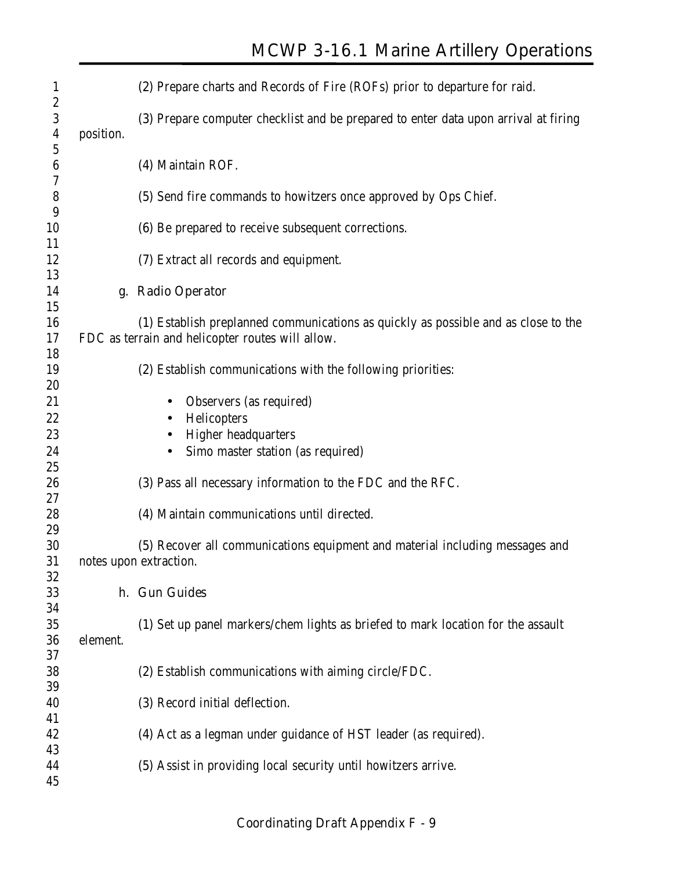| $\mathbf{1}$<br>$\boldsymbol{2}$ |           | (2) Prepare charts and Records of Fire (ROFs) prior to departure for raid.          |
|----------------------------------|-----------|-------------------------------------------------------------------------------------|
| 3<br>$\boldsymbol{4}$            | position. | (3) Prepare computer checklist and be prepared to enter data upon arrival at firing |
| $\mathbf 5$                      |           |                                                                                     |
| 6                                |           | (4) Maintain ROF.                                                                   |
| 7                                |           |                                                                                     |
| 8                                |           | (5) Send fire commands to howitzers once approved by Ops Chief.                     |
| 9                                |           |                                                                                     |
| 10<br>11                         |           | (6) Be prepared to receive subsequent corrections.                                  |
| 12                               |           | (7) Extract all records and equipment.                                              |
| 13                               |           |                                                                                     |
| 14                               |           | g. Radio Operator                                                                   |
| 15                               |           |                                                                                     |
| 16                               |           | (1) Establish preplanned communications as quickly as possible and as close to the  |
| 17                               |           | FDC as terrain and helicopter routes will allow.                                    |
| 18                               |           |                                                                                     |
| 19                               |           | (2) Establish communications with the following priorities:                         |
| 20                               |           |                                                                                     |
| 21                               |           | Observers (as required)                                                             |
| 22                               |           | Helicopters<br>٠                                                                    |
| 23<br>24                         |           | <b>Higher headquarters</b><br>Simo master station (as required)                     |
| 25                               |           |                                                                                     |
| 26                               |           | (3) Pass all necessary information to the FDC and the RFC.                          |
| 27                               |           |                                                                                     |
| 28                               |           | (4) Maintain communications until directed.                                         |
| 29                               |           |                                                                                     |
| 30                               |           | (5) Recover all communications equipment and material including messages and        |
| 31                               |           | notes upon extraction.                                                              |
| 32                               |           |                                                                                     |
| 33                               |           | h. Gun Guides                                                                       |
| 34<br>35                         |           | (1) Set up panel markers/chem lights as briefed to mark location for the assault    |
| 36                               | element.  |                                                                                     |
| 37                               |           |                                                                                     |
| 38                               |           | (2) Establish communications with aiming circle/FDC.                                |
| 39                               |           |                                                                                     |
| 40                               |           | (3) Record initial deflection.                                                      |
| 41                               |           |                                                                                     |
| 42                               |           | (4) Act as a legman under guidance of HST leader (as required).                     |
| 43                               |           |                                                                                     |
| 44                               |           | (5) Assist in providing local security until howitzers arrive.                      |
| 45                               |           |                                                                                     |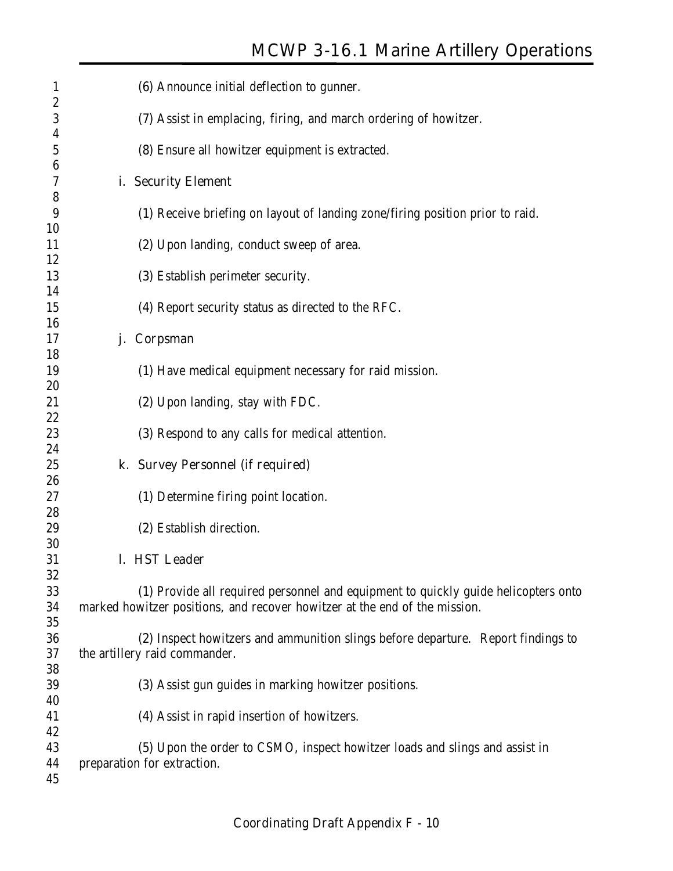| $\mathbf{1}$                         | (6) Announce initial deflection to gunner.                                                                                                                       |
|--------------------------------------|------------------------------------------------------------------------------------------------------------------------------------------------------------------|
| $\boldsymbol{2}$<br>$\boldsymbol{3}$ | (7) Assist in emplacing, firing, and march ordering of howitzer.                                                                                                 |
| 4<br>5                               | (8) Ensure all howitzer equipment is extracted.                                                                                                                  |
| 6<br>7                               | i. Security Element                                                                                                                                              |
| 8<br>9                               | (1) Receive briefing on layout of landing zone/firing position prior to raid.                                                                                    |
| 10<br>11                             | (2) Upon landing, conduct sweep of area.                                                                                                                         |
| 12<br>13                             | (3) Establish perimeter security.                                                                                                                                |
| 14<br>15                             | (4) Report security status as directed to the RFC.                                                                                                               |
| 16<br>17                             | Corpsman<br>j.                                                                                                                                                   |
| 18<br>19                             | (1) Have medical equipment necessary for raid mission.                                                                                                           |
| 20<br>21                             | (2) Upon landing, stay with FDC.                                                                                                                                 |
| 22<br>23                             | (3) Respond to any calls for medical attention.                                                                                                                  |
| 24<br>25                             | k. Survey Personnel (if required)                                                                                                                                |
| 26<br>27                             | (1) Determine firing point location.                                                                                                                             |
| 28<br>29                             | (2) Establish direction.                                                                                                                                         |
| 30<br>31                             | l. HST Leader                                                                                                                                                    |
| 32<br>33<br>34                       | (1) Provide all required personnel and equipment to quickly guide helicopters onto<br>marked howitzer positions, and recover howitzer at the end of the mission. |
| 35<br>36<br>37                       | (2) Inspect howitzers and ammunition slings before departure. Report findings to<br>the artillery raid commander.                                                |
| 38<br>39                             | (3) Assist gun guides in marking howitzer positions.                                                                                                             |
| 40<br>41                             | (4) Assist in rapid insertion of howitzers.                                                                                                                      |
| 42<br>43<br>44<br>45                 | (5) Upon the order to CSMO, inspect howitzer loads and slings and assist in<br>preparation for extraction.                                                       |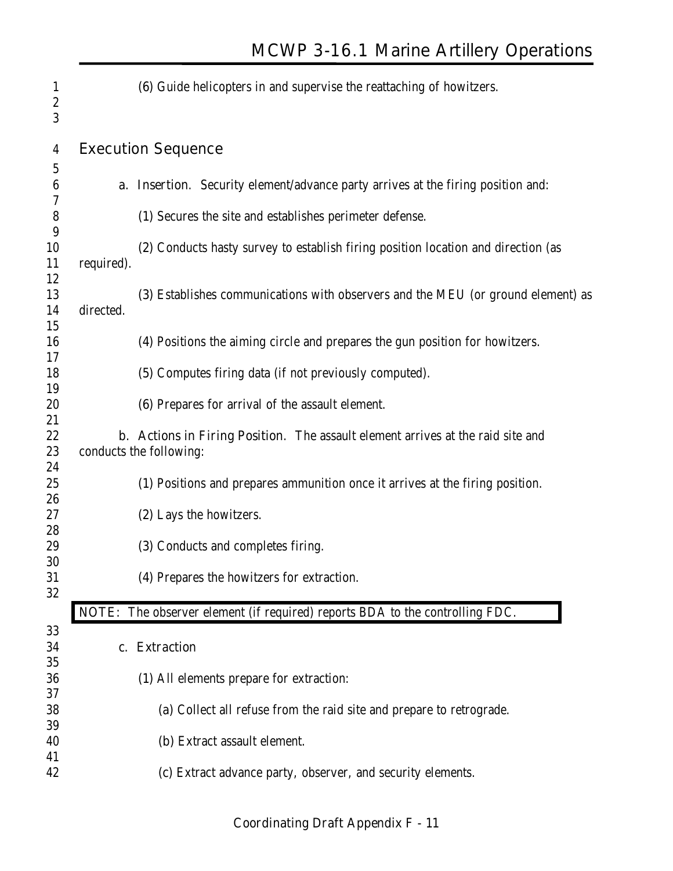| $\mathbf{1}$          |            | (6) Guide helicopters in and supervise the reattaching of howitzers.                    |
|-----------------------|------------|-----------------------------------------------------------------------------------------|
| $\boldsymbol{2}$<br>3 |            |                                                                                         |
| $\overline{4}$        |            | <b>Execution Sequence</b>                                                               |
| 5                     |            |                                                                                         |
| 6                     |            | <b>a. Insertion.</b> Security element/advance party arrives at the firing position and: |
| 7                     |            |                                                                                         |
| ${\bf 8}$             |            | (1) Secures the site and establishes perimeter defense.                                 |
| 9                     |            |                                                                                         |
| 10<br>11              |            | (2) Conducts hasty survey to establish firing position location and direction (as       |
| 12                    | required). |                                                                                         |
| 13                    |            | (3) Establishes communications with observers and the MEU (or ground element) as        |
| 14                    | directed.  |                                                                                         |
| 15                    |            |                                                                                         |
| 16                    |            | (4) Positions the aiming circle and prepares the gun position for howitzers.            |
| 17                    |            |                                                                                         |
| 18                    |            | (5) Computes firing data (if not previously computed).                                  |
| 19                    |            |                                                                                         |
| 20                    |            | (6) Prepares for arrival of the assault element.                                        |
| 21                    |            |                                                                                         |
| 22                    |            | <b>b.</b> Actions in Firing Position. The assault element arrives at the raid site and  |
| 23                    |            | conducts the following:                                                                 |
| 24                    |            |                                                                                         |
| 25                    |            | (1) Positions and prepares ammunition once it arrives at the firing position.           |
| 26                    |            |                                                                                         |
| 27                    |            | (2) Lays the howitzers.                                                                 |
| 28<br>29              |            |                                                                                         |
| 30                    |            | (3) Conducts and completes firing.                                                      |
| 31                    |            | (4) Prepares the howitzers for extraction.                                              |
| 32                    |            |                                                                                         |
|                       |            | NOTE: The observer element (if required) reports BDA to the controlling FDC.            |
| 33                    |            |                                                                                         |
| 34                    |            | c. Extraction                                                                           |
| 35                    |            |                                                                                         |
| 36                    |            | (1) All elements prepare for extraction:                                                |
| 37                    |            |                                                                                         |
| 38                    |            | (a) Collect all refuse from the raid site and prepare to retrograde.                    |
| 39                    |            |                                                                                         |
| 40                    |            | (b) Extract assault element.                                                            |
| 41                    |            |                                                                                         |
| 42                    |            | (c) Extract advance party, observer, and security elements.                             |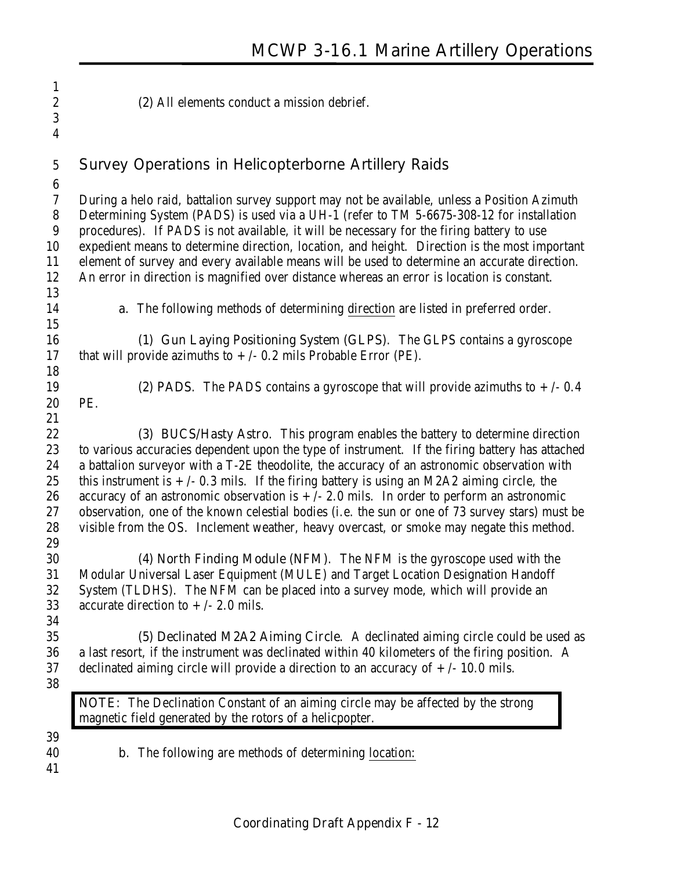- **(2)** All elements conduct a mission debrief.
- **Survey Operations in Helicopterborne Artillery Raids**

 During a helo raid, battalion survey support may not be available, unless a Position Azimuth Determining System (PADS) is used via a UH-1 (refer to TM 5-6675-308-12 for installation procedures). If PADS is not available, it will be necessary for the firing battery to use expedient means to determine direction, location, and height. Direction is the most important element of survey and every available means will be used to determine an accurate direction. An error in direction is magnified over distance whereas an error is location is constant.

 

- **a.** The following methods of determining direction are listed in preferred order.
- **(1) Gun Laying Positioning System (GLPS)**. The GLPS contains a gyroscope 17 that will provide azimuths to  $+/- 0.2$  mils Probable Error (PE).
- 

PE.

19 **(2) PADS**. The PADS contains a gyroscope that will provide azimuths to  $+/-0.4$ 

**(3) BUCS/Hasty Astro**. This program enables the battery to determine direction to various accuracies dependent upon the type of instrument. If the firing battery has attached a battalion surveyor with a T-2E theodolite, the accuracy of an astronomic observation with 25 this instrument is  $+/- 0.3$  mils. If the firing battery is using an M2A2 aiming circle, the 26 accuracy of an astronomic observation is  $+/- 2.0$  mils. In order to perform an astronomic observation, one of the known celestial bodies (i.e. the sun or one of 73 survey stars) must be visible from the OS. Inclement weather, heavy overcast, or smoke may negate this method. 

**(4) North Finding Module (NFM)**. The NFM is the gyroscope used with the Modular Universal Laser Equipment (MULE) and Target Location Designation Handoff System (TLDHS). The NFM can be placed into a survey mode, which will provide an 33 accurate direction to  $+/- 2.0$  mils.

- 
- **(5) Declinated M2A2 Aiming Circle**. A declinated aiming circle could be used as a last resort, if the instrument was declinated within 40 kilometers of the firing position. A 37 declinated aiming circle will provide a direction to an accuracy of  $+/-10.0$  mils.
- 

**NOTE:** The Declination Constant of an aiming circle may be affected by the strong magnetic field generated by the rotors of a helicpopter.

- 
- **b.** The following are methods of determining location:
-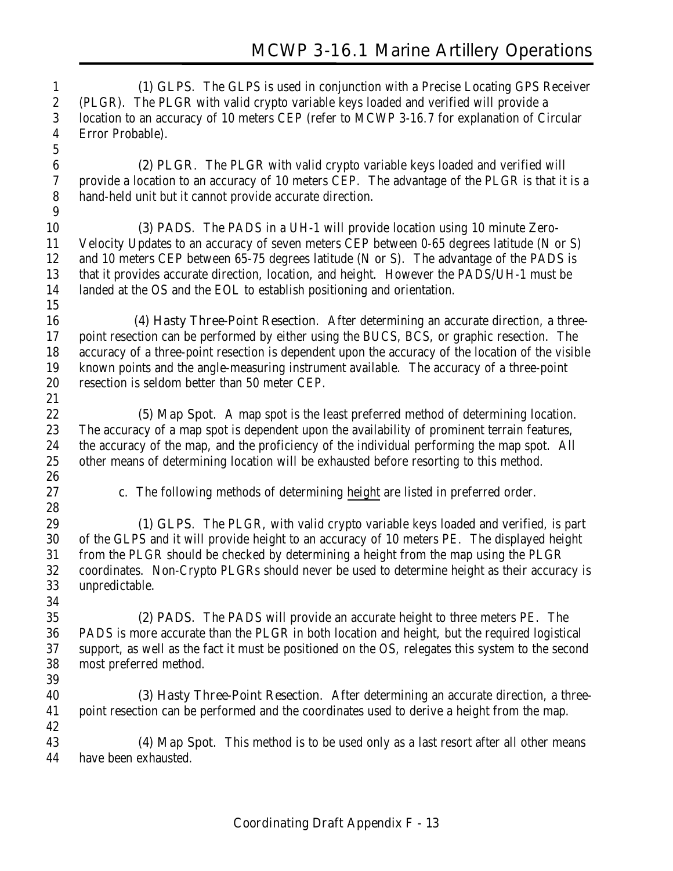**(1) GLPS**. The GLPS is used in conjunction with a Precise Locating GPS Receiver (PLGR). The PLGR with valid crypto variable keys loaded and verified will provide a location to an accuracy of 10 meters CEP (refer to MCWP 3-16.7 for explanation of Circular Error Probable). 

 **(2) PLGR**. The PLGR with valid crypto variable keys loaded and verified will provide a location to an accuracy of 10 meters CEP. The advantage of the PLGR is that it is a hand-held unit but it cannot provide accurate direction. 

**(3) PADS**. The PADS in a UH-1 will provide location using 10 minute Zero- Velocity Updates to an accuracy of seven meters CEP between 0-65 degrees latitude (N or S) and 10 meters CEP between 65-75 degrees latitude (N or S). The advantage of the PADS is that it provides accurate direction, location, and height. However the PADS/UH-1 must be landed at the OS and the EOL to establish positioning and orientation.

**(4) Hasty Three-Point Resection**. After determining an accurate direction, a three- point resection can be performed by either using the BUCS, BCS, or graphic resection. The accuracy of a three-point resection is dependent upon the accuracy of the location of the visible known points and the angle-measuring instrument available. The accuracy of a three-point resection is seldom better than 50 meter CEP.

**(5) Map Spot**. A map spot is the least preferred method of determining location. The accuracy of a map spot is dependent upon the availability of prominent terrain features, the accuracy of the map, and the proficiency of the individual performing the map spot. All other means of determining location will be exhausted before resorting to this method. 

**c.** The following methods of determining height are listed in preferred order.

**(1) GLPS**. The PLGR, with valid crypto variable keys loaded and verified, is part of the GLPS and it will provide height to an accuracy of 10 meters PE. The displayed height from the PLGR should be checked by determining a height from the map using the PLGR coordinates. Non-Crypto PLGRs should never be used to determine height as their accuracy is unpredictable.

**(2) PADS**. The PADS will provide an accurate height to three meters PE. The PADS is more accurate than the PLGR in both location and height, but the required logistical support, as well as the fact it must be positioned on the OS, relegates this system to the second most preferred method.

**(3) Hasty Three-Point Resection**. After determining an accurate direction, a three- point resection can be performed and the coordinates used to derive a height from the map. 

**(4) Map Spot**. This method is to be used only as a last resort after all other means have been exhausted.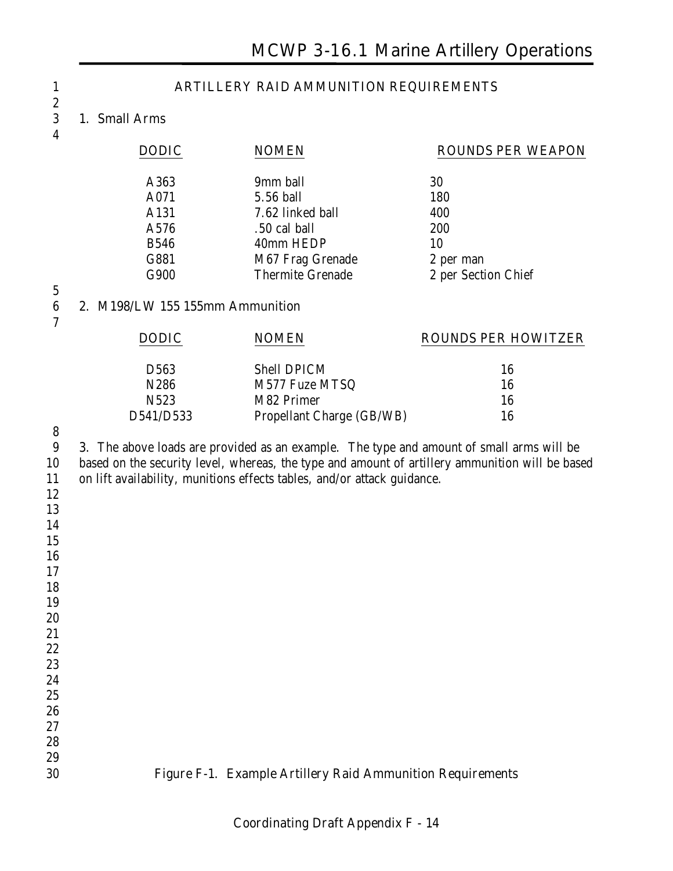#### **ARTILLERY RAID AMMUNITION REQUIREMENTS**

#### **1. Small Arms**

|  | ш |  |
|--|---|--|
|  |   |  |

| <b>DODIC</b> | <b>NOMEN</b>            | <b>ROUNDS PER WEAPON</b> |
|--------------|-------------------------|--------------------------|
| A363         | 9mm ball                | 30                       |
| A071         | 5.56 ball               | 180                      |
| A131         | 7.62 linked ball        | 400                      |
| A576         | .50 cal ball            | 200                      |
| <b>B546</b>  | 40mm HEDP               | 10                       |
| G881         | M67 Frag Grenade        | 2 per man                |
| G900         | <b>Thermite Grenade</b> | 2 per Section Chief      |
|              |                         |                          |

# 

**2. M198/LW 155 155mm Ammunition**

| <b>DODIC</b>     | <b>NOMEN</b>              | <b>ROUNDS PER HOWITZER</b> |
|------------------|---------------------------|----------------------------|
|                  |                           |                            |
| D563             | <b>Shell DPICM</b>        | 16                         |
| N286             | M577 Fuze MTSQ            | 16                         |
| N <sub>523</sub> | M82 Primer                | 16                         |
| D541/D533        | Propellant Charge (GB/WB) | 16                         |

#### 

 **3.** The above loads are provided as an example. The type and amount of small arms will be based on the security level, whereas, the type and amount of artillery ammunition will be based on lift availability, munitions effects tables, and/or attack guidance.

- 
- 
- 
- 
- 
- 

- 
- 

 



### 

#### **Figure F-1. Example Artillery Raid Ammunition Requirements**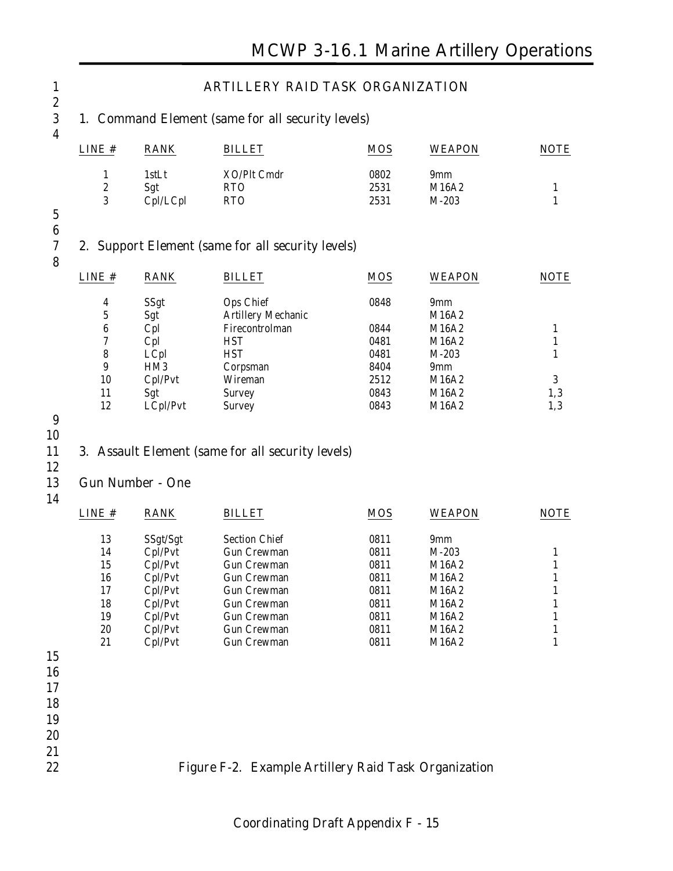| LINE #                      | <b>RANK</b>             | <b>BILLET</b>                                                                       | <b>MOS</b>   | <b>WEAPON</b>  |  |
|-----------------------------|-------------------------|-------------------------------------------------------------------------------------|--------------|----------------|--|
| $\mathbf{1}$                | 1stLt                   | XO/Plt Cmdr                                                                         | 0802         | 9mm            |  |
| $\boldsymbol{2}$            | Sgt                     | <b>RTO</b>                                                                          | 2531         | M16A2          |  |
| 3                           | Cpl/LCpl                | <b>RTO</b>                                                                          | 2531         | $M-203$        |  |
|                             |                         | 2. Support Element (same for all security levels)                                   |              |                |  |
| LINE#                       | <b>RANK</b>             | <b>BILLET</b>                                                                       | <b>MOS</b>   | <b>WEAPON</b>  |  |
| $\boldsymbol{4}$            | SSgt                    | Ops Chief                                                                           | 0848         | 9mm            |  |
| 5                           | Sgt                     | <b>Artillery Mechanic</b>                                                           |              | M16A2          |  |
| $\bf 6$                     | Cpl                     | Firecontrolman                                                                      | 0844         | M16A2          |  |
| $\boldsymbol{7}$            | Cpl                     | <b>HST</b>                                                                          | 0481         | M16A2          |  |
| $\bf 8$<br>$\boldsymbol{9}$ | LCpl                    | <b>HST</b>                                                                          | 0481         | $M-203$        |  |
|                             | HM <sub>3</sub>         | Corpsman                                                                            | 8404         | 9mm            |  |
|                             |                         |                                                                                     |              |                |  |
| 10                          | Cpl/Pvt                 | Wireman                                                                             | 2512         | M16A2          |  |
| 11<br>12                    | Sgt<br>LCpl/Pvt         | <b>Survey</b><br><b>Survey</b><br>3. Assault Element (same for all security levels) | 0843<br>0843 | M16A2<br>M16A2 |  |
|                             | <b>Gun Number - One</b> |                                                                                     |              |                |  |
|                             | <b>RANK</b>             | <b>BILLET</b>                                                                       | <b>MOS</b>   | <b>WEAPON</b>  |  |
| 13                          | SSgt/Sgt                | <b>Section Chief</b>                                                                | 0811         | 9mm            |  |
| 14                          | Cpl/Pvt                 | <b>Gun Crewman</b>                                                                  | 0811         | $M-203$        |  |
| 15                          | Cpl/Pvt                 | <b>Gun Crewman</b>                                                                  | 0811         | M16A2          |  |
| 16                          | Cpl/Pvt                 | <b>Gun Crewman</b>                                                                  | 0811         | M16A2          |  |
| 17                          | Cpl/Pvt                 | <b>Gun Crewman</b>                                                                  | 0811         | M16A2          |  |
| 18                          | Cpl/Pvt                 | <b>Gun Crewman</b>                                                                  | 0811         | M16A2          |  |
| 19                          | Cpl/Pvt                 | <b>Gun Crewman</b>                                                                  | 0811         | M16A2          |  |
| 20                          | Cpl/Pvt                 | <b>Gun Crewman</b>                                                                  | 0811         | M16A2          |  |
| LINE #<br>21                | Cpl/Pvt                 | <b>Gun Crewman</b>                                                                  | 0811         | M16A2          |  |
|                             |                         |                                                                                     |              |                |  |
|                             |                         |                                                                                     |              |                |  |
|                             |                         |                                                                                     |              |                |  |
|                             |                         |                                                                                     |              |                |  |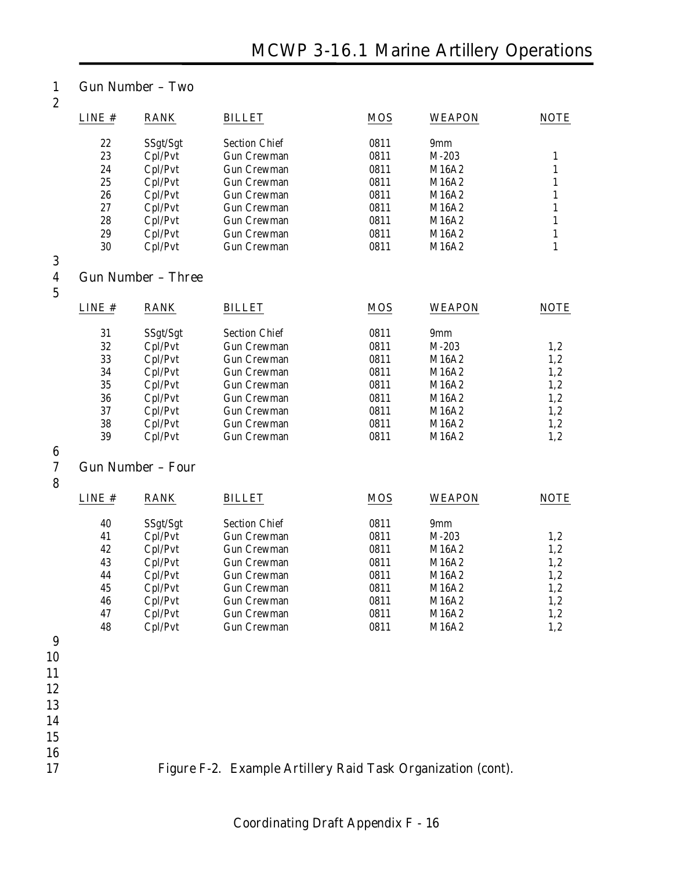#### 1 **Gun Number – Two**

| ٠<br>ë       |
|--------------|
| ۰.<br>v<br>ł |

| LINE # | <b>RANK</b>         | <b>BILLET</b>        | <b>MOS</b> | <b>WEAPON</b>   | <b>NOTE</b> |
|--------|---------------------|----------------------|------------|-----------------|-------------|
| 22     | SSgt/Sgt            | <b>Section Chief</b> | 0811       | 9 <sub>mm</sub> |             |
| 23     | Cpl/Pvt             | <b>Gun Crewman</b>   | 0811       | $M-203$         |             |
| 24     | Cpl/Pvt             | <b>Gun Crewman</b>   | 0811       | M16A2           |             |
| 25     | Cpl/Pvt             | <b>Gun Crewman</b>   | 0811       | M16A2           |             |
| 26     | Cpl/Pvt             | <b>Gun Crewman</b>   | 0811       | M16A2           |             |
| 27     | Cpl/Pvt             | <b>Gun Crewman</b>   | 0811       | M16A2           |             |
| 28     | C <sub>D</sub> /Pvt | <b>Gun Crewman</b>   | 0811       | M16A2           |             |
| 29     | Cpl/Pvt             | <b>Gun Crewman</b>   | 0811       | M16A2           |             |
| 30     | Cpl/Pvt             | Gun Crewman          | 0811       | M16A2           |             |

3

#### 4 **Gun Number – Three**

| ۰.<br>٠<br>×<br>i<br>e<br>$\overline{\phantom{a}}$ |  |
|----------------------------------------------------|--|
|                                                    |  |
|                                                    |  |

| LINE# | <b>RANK</b> | <b>BILLET</b>        | <b>MOS</b> | <b>WEAPON</b>   | <b>NOTE</b> |
|-------|-------------|----------------------|------------|-----------------|-------------|
| 31    | SSgt/Sgt    | <b>Section Chief</b> | 0811       | 9 <sub>mm</sub> |             |
| 32    | Cpl/Pvt     | <b>Gun Crewman</b>   | 0811       | $M-203$         | 1,2         |
| 33    | Cpl/Pvt     | <b>Gun Crewman</b>   | 0811       | M16A2           | 1,2         |
| 34    | Cpl/Pvt     | <b>Gun Crewman</b>   | 0811       | M16A2           | 1,2         |
| 35    | Cpl/Pvt     | <b>Gun Crewman</b>   | 0811       | M16A2           | 1,2         |
| 36    | Cpl/Pvt     | Gun Crewman          | 0811       | M16A2           | 1,2         |
| 37    | Cpl/Pvt     | <b>Gun Crewman</b>   | 0811       | M16A2           | 1,2         |
| 38    | Cpl/Pvt     | <b>Gun Crewman</b>   | 0811       | M16A2           | 1,2         |
| 39    | Cpl/Pvt     | <b>Gun Crewman</b>   | 0811       | M16A2           | $1.2\,$     |

 $\frac{6}{7}$ 

#### 7 **Gun Number – Four**

8

| LINE# | <b>RANK</b> | <b>BILLET</b>        | <b>MOS</b> | <b>WEAPON</b> | <b>NOTE</b> |
|-------|-------------|----------------------|------------|---------------|-------------|
| 40    | SSgt/Sgt    | <b>Section Chief</b> | 0811       | 9mm           |             |
| 41    | Cpl/Pvt     | <b>Gun Crewman</b>   | 0811       | $M-203$       | 1,2         |
| 42    | Cpl/Pvt     | <b>Gun Crewman</b>   | 0811       | M16A2         | 1,2         |
| 43    | Cpl/Pvt     | <b>Gun Crewman</b>   | 0811       | M16A2         | 1,2         |
| 44    | Cpl/Pvt     | <b>Gun Crewman</b>   | 0811       | M16A2         | 1,2         |
| 45    | Cpl/Pvt     | Gun Crewman          | 0811       | M16A2         | 1,2         |
| 46    | Cpl/Pvt     | <b>Gun Crewman</b>   | 0811       | M16A2         | 1,2         |
| 47    | Cpl/Pvt     | <b>Gun Crewman</b>   | 0811       | M16A2         | 1.2         |
| 48    | Cpl/Pvt     | <b>Gun Crewman</b>   | 0811       | M16A2         | 1,2         |
|       |             |                      |            |               |             |

9

- 10 11
- 12
- 13

14

15

### 16

#### 17 **Figure F-2. Example Artillery Raid Task Organization (cont).**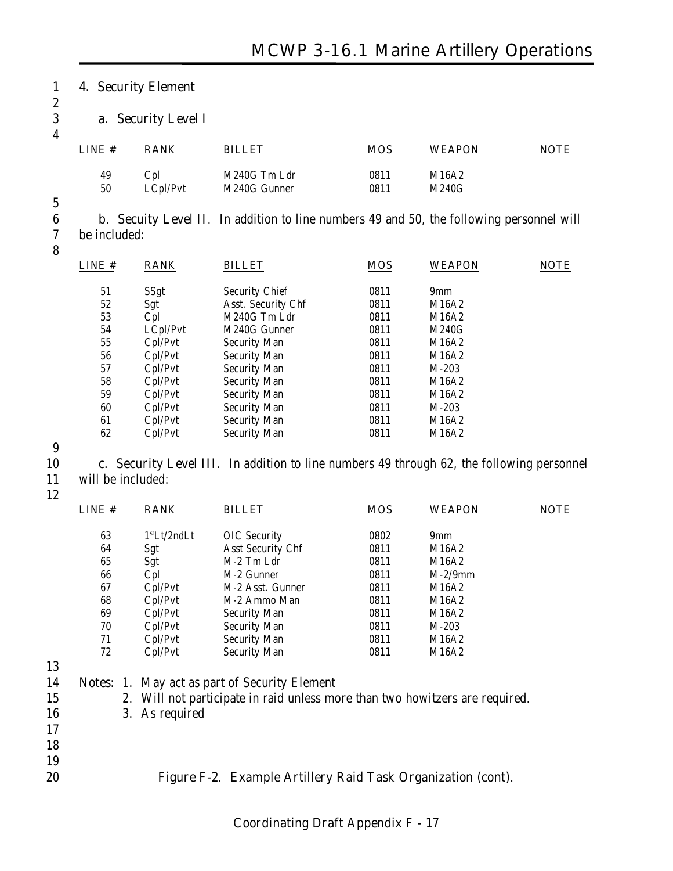#### 1 **4. Security Element**

2

#### 3 **a. Security Level I**

4

| LINE# | <b>RANK</b> | BILLET       | <b>MOS</b> | <b>WEAPON</b> | <b>NOTE</b> |
|-------|-------------|--------------|------------|---------------|-------------|
| 49    | Cpl         | M240G Tm Ldr | 0811       | M16A2         |             |
| 50    | LCpl/Pvt    | M240G Gunner | 0811       | M240G         |             |

5

6 **b. Secuity Level II**. In addition to line numbers 49 and 50, the following personnel will 7 be included:

8

| LINE # | <b>RANK</b> | <b>BILLET</b>         | <b>MOS</b> | <b>WEAPON</b>   | <b>NOTE</b> |
|--------|-------------|-----------------------|------------|-----------------|-------------|
| 51     | SSgt        | <b>Security Chief</b> | 0811       | 9 <sub>mm</sub> |             |
| 52     | Sgt         | Asst. Security Chf    | 0811       | M16A2           |             |
| 53     | Cpl         | M240G Tm Ldr          | 0811       | M16A2           |             |
| 54     | LCpl/Pvt    | M240G Gunner          | 0811       | M240G           |             |
| 55     | Cpl/Pvt     | <b>Security Man</b>   | 0811       | M16A2           |             |
| 56     | Cpl/Pvt     | <b>Security Man</b>   | 0811       | M16A2           |             |
| 57     | Cpl/Pvt     | <b>Security Man</b>   | 0811       | $M-203$         |             |
| 58     | Cpl/Pvt     | <b>Security Man</b>   | 0811       | M16A2           |             |
| 59     | Cpl/Pvt     | <b>Security Man</b>   | 0811       | M16A2           |             |
| 60     | Cpl/Pvt     | <b>Security Man</b>   | 0811       | $M-203$         |             |
| 61     | Cpl/Pvt     | <b>Security Man</b>   | 0811       | M16A2           |             |
| 62     | Cpl/Pvt     | <b>Security Man</b>   | 0811       | M16A2           |             |
|        |             |                       |            |                 |             |

9

10 **c. Security Level III**. In addition to line numbers 49 through 62, the following personnel 11 will be included:

12

| LINE # | <b>RANK</b>              | <b>BILLET</b>            | <b>MOS</b> | <b>WEAPON</b>   | <b>NOTE</b> |
|--------|--------------------------|--------------------------|------------|-----------------|-------------|
| 63     | 1 <sup>st</sup> Lt/2ndLt | <b>OIC</b> Security      | 0802       | 9 <sub>mm</sub> |             |
| 64     | Sgt                      | <b>Asst Security Chf</b> | 0811       | M16A2           |             |
| 65     | Sgt                      | M-2 Tm Ldr               | 0811       | M16A2           |             |
| 66     | Cpl                      | M-2 Gunner               | 0811       | $M-2/9$ mm      |             |
| 67     | Cpl/Pvt                  | M-2 Asst. Gunner         | 0811       | M16A2           |             |
| 68     | Cpl/Pvt                  | M-2 Ammo Man             | 0811       | M16A2           |             |
| 69     | Cpl/Pvt                  | <b>Security Man</b>      | 0811       | M16A2           |             |
| 70     | Cpl/Pvt                  | <b>Security Man</b>      | 0811       | $M-203$         |             |
| 71     | Cpl/Pvt                  | <b>Security Man</b>      | 0811       | M16A2           |             |
| 72     | Cpl/Pvt                  | <b>Security Man</b>      | 0811       | M16A2           |             |
|        |                          |                          |            |                 |             |

13

- 14 **Notes:** 1. May act as part of Security Element
- 15 2. Will not participate in raid unless more than two howitzers are required.
- 16 3. As required
- 17
- 18
- 19
- 

#### 20 **Figure F-2. Example Artillery Raid Task Organization (cont).**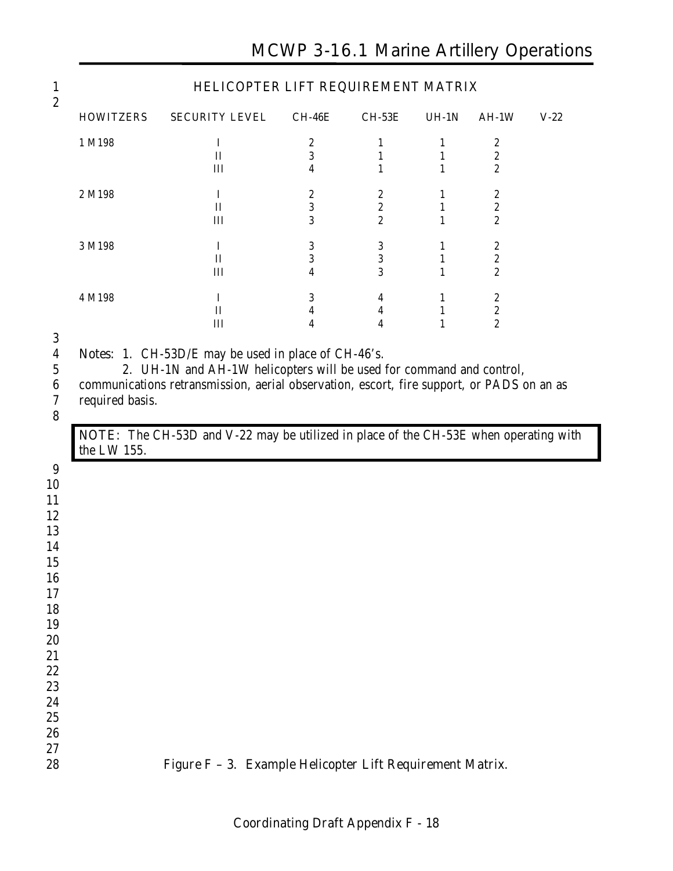|                                |                                                                                      |                              |                   | HELICOPTER LIFT REQUIREMENT MATRIX |                                      |        |
|--------------------------------|--------------------------------------------------------------------------------------|------------------------------|-------------------|------------------------------------|--------------------------------------|--------|
| <b>HOWITZERS</b>               | <b>SECURITY LEVEL</b>                                                                | <b>CH-46E</b>                | <b>CH-53E</b>     | $UH-1N$                            | $AH-1W$                              | $V-22$ |
| 1 M198                         | $\bf{I}$                                                                             | $\boldsymbol{2}$             | $\mathbf{1}$      | $\mathbf{1}$                       | $\boldsymbol{2}$                     |        |
|                                | $\mathbf{I}$<br>III                                                                  | 3<br>4                       | $\mathbf{1}$<br>1 | $\mathbf{1}$<br>$\mathbf{1}$       | $\boldsymbol{2}$<br>$\boldsymbol{2}$ |        |
| 2 M198                         | $\mathbf I$                                                                          | $\boldsymbol{2}$             | $\boldsymbol{2}$  | 1                                  | 2                                    |        |
|                                | $\mathbf{I}$                                                                         | $\sqrt{3}$                   | $\boldsymbol{2}$  | $\mathbf{1}$                       | $\boldsymbol{2}$                     |        |
|                                | III                                                                                  | 3                            | $\overline{c}$    | $\mathbf{1}$                       | $\boldsymbol{2}$                     |        |
| 3 M198                         | $\bf{I}$                                                                             | $\sqrt{3}$                   | $\sqrt{3}$        | $\mathbf{1}$                       | 2                                    |        |
|                                | $\mathbf{I}$<br>III                                                                  | 3<br>$\overline{\mathbf{4}}$ | 3<br>3            | $\mathbf{1}$<br>$\mathbf{1}$       | $\boldsymbol{2}$<br>$\boldsymbol{2}$ |        |
|                                |                                                                                      |                              |                   |                                    |                                      |        |
| 4 M198                         | I                                                                                    | 3                            | 4                 | $\mathbf{1}$                       | $\boldsymbol{2}$                     |        |
|                                | $\mathbf{I}$<br>III                                                                  | $\boldsymbol{4}$<br>4        | 4<br>4            | $\mathbf{1}$<br>$\mathbf{1}$       | $\boldsymbol{2}$<br>$\boldsymbol{2}$ |        |
| required basis.<br>the LW 155. | NOTE: The CH-53D and V-22 may be utilized in place of the CH-53E when operating with |                              |                   |                                    |                                      |        |
|                                |                                                                                      |                              |                   |                                    |                                      |        |
|                                |                                                                                      |                              |                   |                                    |                                      |        |
|                                |                                                                                      |                              |                   |                                    |                                      |        |
|                                |                                                                                      |                              |                   |                                    |                                      |        |
|                                |                                                                                      |                              |                   |                                    |                                      |        |
|                                |                                                                                      |                              |                   |                                    |                                      |        |
|                                |                                                                                      |                              |                   |                                    |                                      |        |
|                                |                                                                                      |                              |                   |                                    |                                      |        |
|                                |                                                                                      |                              |                   |                                    |                                      |        |
|                                |                                                                                      |                              |                   |                                    |                                      |        |
|                                |                                                                                      |                              |                   |                                    |                                      |        |
|                                |                                                                                      |                              |                   |                                    |                                      |        |
|                                |                                                                                      |                              |                   |                                    |                                      |        |
|                                |                                                                                      |                              |                   |                                    |                                      |        |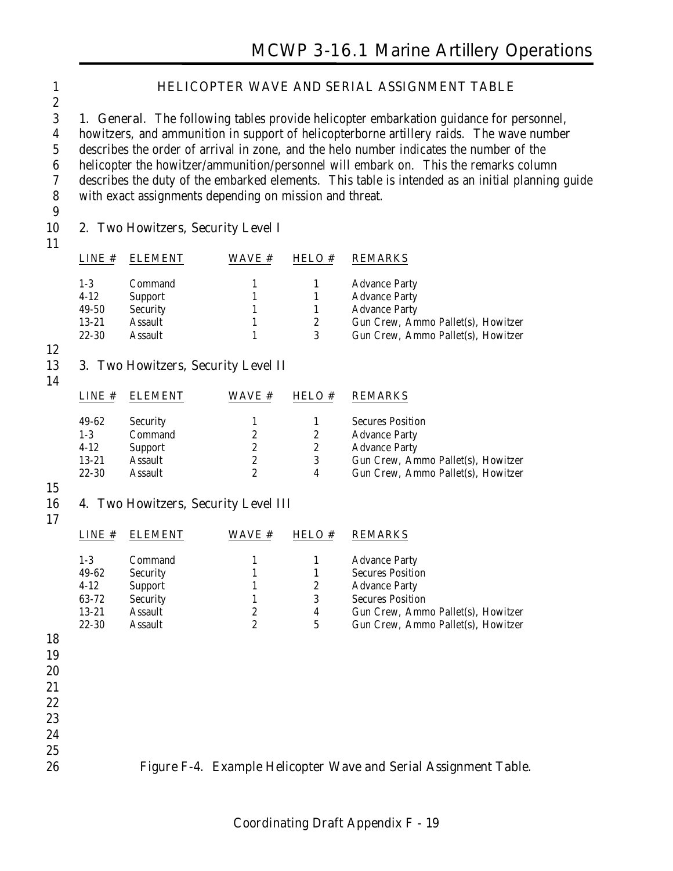#### 1 **HELICOPTER WAVE AND SERIAL ASSIGNMENT TABLE**

 **1. General**. The following tables provide helicopter embarkation guidance for personnel, howitzers, and ammunition in support of helicopterborne artillery raids. The wave number describes the order of arrival in zone, and the helo number indicates the number of the helicopter the howitzer/ammunition/personnel will embark on. This the remarks column describes the duty of the embarked elements. This table is intended as an initial planning guide with exact assignments depending on mission and threat.

9

#### 10 **2. Two Howitzers, Security Level I**

| LINE#     | <b>ELEMENT</b>  | WAVE # | <b>HELO#</b>          | <b>REMARKS</b>                     |
|-----------|-----------------|--------|-----------------------|------------------------------------|
| $1-3$     | Command         |        |                       | <b>Advance Party</b>               |
| $4 - 12$  | <b>Support</b>  |        |                       | <b>Advance Party</b>               |
| 49-50     | <b>Security</b> |        |                       | <b>Advance Party</b>               |
| $13 - 21$ | Assault         |        | $\mathbf{2}^{\prime}$ | Gun Crew, Ammo Pallet(s), Howitzer |
| $22 - 30$ | Assault         |        | 3                     | Gun Crew, Ammo Pallet(s), Howitzer |

12

#### 13 **3. Two Howitzers, Security Level II**

14

| LINE#     | <b>FI EMENT</b> | <b>WAVE</b> # | <b>HELO#</b> | <b>REMARKS</b>                     |
|-----------|-----------------|---------------|--------------|------------------------------------|
| 49-62     | <b>Security</b> |               |              | <b>Secures Position</b>            |
| $1-3$     | Command         |               |              | <b>Advance Party</b>               |
| $4 - 12$  | Support         |               |              | <b>Advance Party</b>               |
| $13 - 21$ | Assault         | 2             | 3            | Gun Crew, Ammo Pallet(s), Howitzer |
| $22 - 30$ | Assault         | 9.            | 4            | Gun Crew, Ammo Pallet(s), Howitzer |
|           |                 |               |              |                                    |

15

#### 16 **4. Two Howitzers, Security Level III**

17

|    | LINE#     | <b>ELEMENT</b>  | WAVE #           | HELO #         | <b>REMARKS</b>                     |
|----|-----------|-----------------|------------------|----------------|------------------------------------|
|    | $1-3$     | Command         |                  | 1              | <b>Advance Party</b>               |
|    | 49-62     | <b>Security</b> |                  | 1              | <b>Secures Position</b>            |
|    | $4-12$    | <b>Support</b>  |                  | 2              | <b>Advance Party</b>               |
|    | 63-72     | <b>Security</b> |                  | 3              | <b>Secures Position</b>            |
|    | $13 - 21$ | <b>Assault</b>  | 2                | 4              | Gun Crew, Ammo Pallet(s), Howitzer |
|    | $22 - 30$ | <b>Assault</b>  | $\boldsymbol{2}$ | $\overline{5}$ | Gun Crew, Ammo Pallet(s), Howitzer |
| 18 |           |                 |                  |                |                                    |
| 19 |           |                 |                  |                |                                    |
| 20 |           |                 |                  |                |                                    |
| 21 |           |                 |                  |                |                                    |
|    |           |                 |                  |                |                                    |
| 22 |           |                 |                  |                |                                    |
| 23 |           |                 |                  |                |                                    |
| 24 |           |                 |                  |                |                                    |
| 25 |           |                 |                  |                |                                    |



#### 26 **Figure F-4. Example Helicopter Wave and Serial Assignment Table.**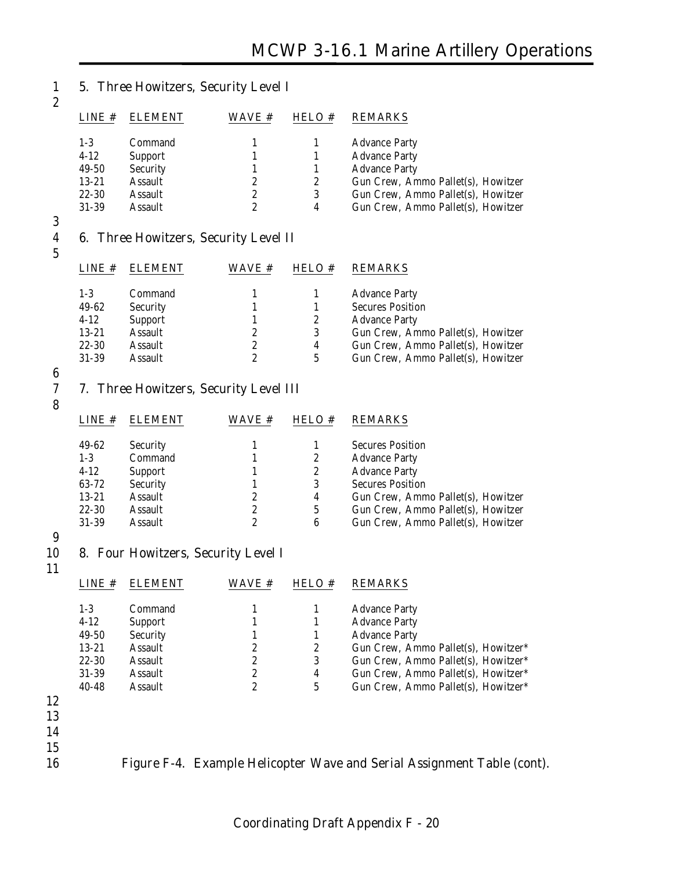#### 1 **5. Three Howitzers, Security Level I** 2

| LINE#     | <b>ELEMENT</b>  | <b>WAVE</b> # | HELO # | <b>REMARKS</b>                     |
|-----------|-----------------|---------------|--------|------------------------------------|
| $1-3$     | Command         |               |        | <b>Advance Party</b>               |
| $4 - 12$  | <b>Support</b>  |               |        | <b>Advance Party</b>               |
| 49-50     | <b>Security</b> |               |        | <b>Advance Party</b>               |
| $13 - 21$ | <b>Assault</b>  | 2             | 2      | Gun Crew, Ammo Pallet(s), Howitzer |
| $22 - 30$ | <b>Assault</b>  | 2             | 3      | Gun Crew, Ammo Pallet(s), Howitzer |
| $31 - 39$ | Assault         |               | 4      | Gun Crew, Ammo Pallet(s), Howitzer |
|           |                 |               |        |                                    |

 $\frac{3}{4}$ 

#### 4 **6. Three Howitzers, Security Level II**

| ۰.          |
|-------------|
| ٠<br>×      |
| í<br>v<br>× |

| $I$ . INE $#$ | <b>ELEMENT</b>  | WAVE # | <b>HELO#</b> | <b>REMARKS</b>                     |
|---------------|-----------------|--------|--------------|------------------------------------|
| $1 - 3$       | Command         |        |              | <b>Advance Party</b>               |
| 49-62         | <b>Security</b> |        |              | <b>Secures Position</b>            |
| $4 - 12$      | Support         |        | 2            | <b>Advance Party</b>               |
| $13 - 21$     | Assault         | 2      | 3            | Gun Crew, Ammo Pallet(s), Howitzer |
| $22 - 30$     | Assault         | 2      | 4            | Gun Crew, Ammo Pallet(s), Howitzer |
| $31 - 39$     | Assault         |        | 5            | Gun Crew, Ammo Pallet(s), Howitzer |

 $\frac{6}{7}$ 

#### 7 **7. Three Howitzers, Security Level III**

8

| LINE#     | <b>ELEMENT</b>  | WAVE # | HELO # | <b>REMARKS</b>                     |
|-----------|-----------------|--------|--------|------------------------------------|
|           |                 |        |        |                                    |
| 49-62     | <b>Security</b> |        |        | <b>Secures Position</b>            |
| $1-3$     | Command         |        | 2      | <b>Advance Party</b>               |
| $4-12$    | <b>Support</b>  |        | 2      | <b>Advance Party</b>               |
| 63-72     | <b>Security</b> |        | 3      | <b>Secures Position</b>            |
| $13 - 21$ | Assault         |        | 4      | Gun Crew, Ammo Pallet(s), Howitzer |
| $22 - 30$ | Assault         | 2      | 5      | Gun Crew, Ammo Pallet(s), Howitzer |
| $31 - 39$ | <b>Assault</b>  | 9      | 6      | Gun Crew, Ammo Pallet(s), Howitzer |

|  | 01-09 Assault |                                        |
|--|---------------|----------------------------------------|
|  |               |                                        |
|  |               | 10 8. Four Howitzers, Security Level I |
|  |               |                                        |

| LINE#     |                | <b>WAVE</b> # | <b>HELO#</b> | <b>REMARKS</b>                      |
|-----------|----------------|---------------|--------------|-------------------------------------|
| $1 - 3$   | Command        |               |              | <b>Advance Party</b>                |
| $4-12$    | <b>Support</b> |               |              | <b>Advance Party</b>                |
| 49-50     | Security       |               |              | <b>Advance Party</b>                |
| $13 - 21$ | Assault        | 2             | 2            | Gun Crew, Ammo Pallet(s), Howitzer* |
| $22 - 30$ | <b>Assault</b> | 2             | 3            | Gun Crew, Ammo Pallet(s), Howitzer* |
| $31 - 39$ | Assault        | 2             | 4            | Gun Crew, Ammo Pallet(s), Howitzer* |
| $40 - 48$ | <b>Assault</b> | 2             | 5            | Gun Crew, Ammo Pallet(s), Howitzer* |
|           |                |               |              |                                     |
|           |                |               |              |                                     |
|           |                |               |              |                                     |
|           |                |               |              |                                     |

- 12 13
- 14
- $\frac{15}{16}$

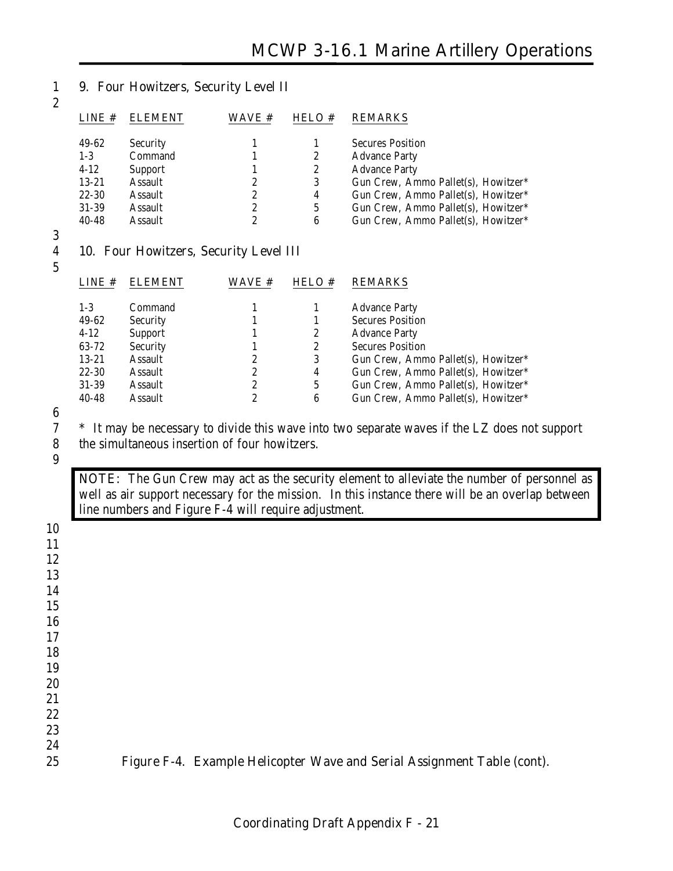#### 1 **9. Four Howitzers, Security Level II**

| LINE#     | <b>ELEMENT</b>  | <b>WAVE</b> # | HELO # | <b>REMARKS</b>                      |
|-----------|-----------------|---------------|--------|-------------------------------------|
| 49-62     | <b>Security</b> |               |        | <b>Secures Position</b>             |
| $1-3$     | Command         |               | 2      | <b>Advance Party</b>                |
| $4-12$    | <b>Support</b>  |               | 2      | <b>Advance Party</b>                |
| $13 - 21$ | Assault         | 2             | 3      | Gun Crew, Ammo Pallet(s), Howitzer* |
| $22 - 30$ | Assault         | 2             | 4      | Gun Crew, Ammo Pallet(s), Howitzer* |
| $31 - 39$ | Assault         | 2             | 5      | Gun Crew, Ammo Pallet(s), Howitzer* |
| $40 - 48$ | Assault         | 2             | 6      | Gun Crew, Ammo Pallet(s), Howitzer* |

#### 3

5

2

#### 4 **10. Four Howitzers, Security Level III**

| LINE#     | <b>ELEMENT</b>  | WAVE # | HELO # | <b>REMARKS</b>                      |
|-----------|-----------------|--------|--------|-------------------------------------|
| $1-3$     | Command         |        |        | <b>Advance Party</b>                |
| 49-62     | <b>Security</b> |        |        | <b>Secures Position</b>             |
| $4 - 12$  | Support         |        | 2      | <b>Advance Party</b>                |
| 63-72     | <b>Security</b> |        | 2      | <b>Secures Position</b>             |
| $13 - 21$ | <b>Assault</b>  | 2      | 3      | Gun Crew, Ammo Pallet(s), Howitzer* |
| $22 - 30$ | <b>Assault</b>  | 2      | 4      | Gun Crew, Ammo Pallet(s), Howitzer* |
| $31 - 39$ | <b>Assault</b>  | 2      | 5      | Gun Crew, Ammo Pallet(s), Howitzer* |
| $40 - 48$ | Assault         | 2      | 6      | Gun Crew, Ammo Pallet(s), Howitzer* |

# $\frac{6}{7}$

<sup>\*</sup> It may be necessary to divide this wave into two separate waves if the LZ does not support the simultaneous insertion of four howitzers.

the simultaneous insertion of four howitzers.

9

**NOTE:** The Gun Crew may act as the security element to alleviate the number of personnel as well as air support necessary for the mission. In this instance there will be an overlap between line numbers and Figure F-4 will require adjustment.

| $\sim$ $\sim$ |                                                                         |
|---------------|-------------------------------------------------------------------------|
| 11            |                                                                         |
| 12            |                                                                         |
| 13            |                                                                         |
| 14            |                                                                         |
| 15            |                                                                         |
| 16            |                                                                         |
| 17            |                                                                         |
| 18            |                                                                         |
| 19            |                                                                         |
| 20            |                                                                         |
| 21            |                                                                         |
| 22            |                                                                         |
| 23            |                                                                         |
| 24            |                                                                         |
| 25            | Figure F-4. Example Helicopter Wave and Serial Assignment Table (cont). |
|               |                                                                         |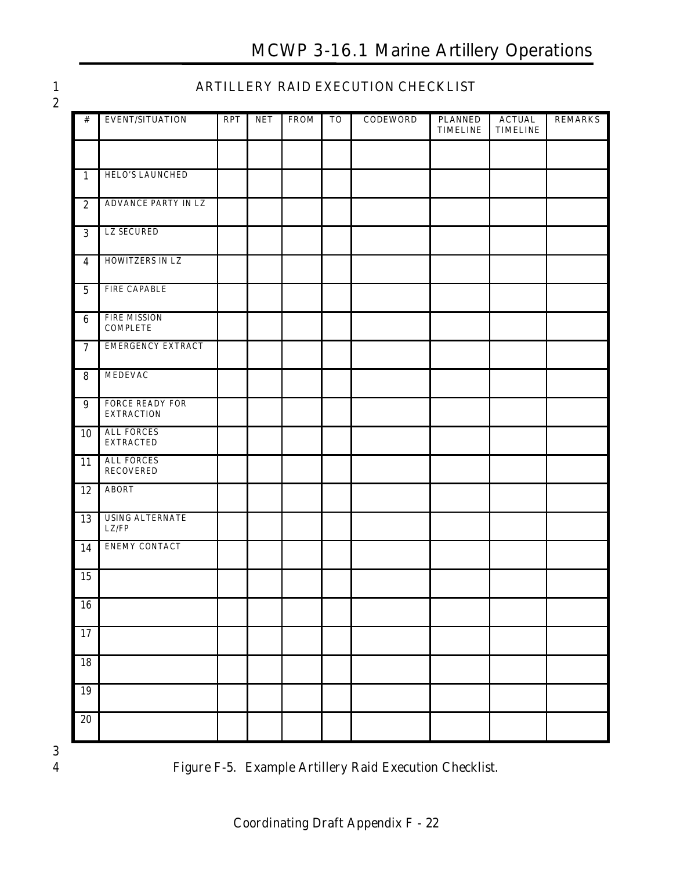# **MCWP 3-16.1 Marine Artillery Operations**

| × |               |  |
|---|---------------|--|
|   | ٠<br>۰.<br>۰. |  |

#### **ARTILLERY RAID EXECUTION CHECKLIST**

| $\#$                    | <b>EVENT/SITUATION</b>                 | RPT | NET | <b>FROM</b> | <b>TO</b> | <b>CODEWORD</b> | <b>PLANNED</b><br><b>TIMELINE</b> | <b>ACTUAL</b><br><b>TIMELINE</b> | <b>REMARKS</b> |
|-------------------------|----------------------------------------|-----|-----|-------------|-----------|-----------------|-----------------------------------|----------------------------------|----------------|
|                         |                                        |     |     |             |           |                 |                                   |                                  |                |
|                         | HELO'S LAUNCHED                        |     |     |             |           |                 |                                   |                                  |                |
| $\mathbf{1}$            |                                        |     |     |             |           |                 |                                   |                                  |                |
| $\sqrt{2}$              | ADVANCE PARTY IN LZ                    |     |     |             |           |                 |                                   |                                  |                |
| 3                       | <b>LZ SECURED</b>                      |     |     |             |           |                 |                                   |                                  |                |
| $\overline{\mathbf{4}}$ | HOWITZERS IN LZ                        |     |     |             |           |                 |                                   |                                  |                |
| $\mathbf 5$             | <b>FIRE CAPABLE</b>                    |     |     |             |           |                 |                                   |                                  |                |
| $6\phantom{1}$          | <b>FIRE MISSION</b><br><b>COMPLETE</b> |     |     |             |           |                 |                                   |                                  |                |
| $\overline{7}$          | <b>EMERGENCY EXTRACT</b>               |     |     |             |           |                 |                                   |                                  |                |
| $\bf 8$                 | <b>MEDEVAC</b>                         |     |     |             |           |                 |                                   |                                  |                |
| 9                       | FORCE READY FOR<br><b>EXTRACTION</b>   |     |     |             |           |                 |                                   |                                  |                |
| 10                      | <b>ALL FORCES</b><br><b>EXTRACTED</b>  |     |     |             |           |                 |                                   |                                  |                |
| 11                      | <b>ALL FORCES</b><br><b>RECOVERED</b>  |     |     |             |           |                 |                                   |                                  |                |
| 12                      | <b>ABORT</b>                           |     |     |             |           |                 |                                   |                                  |                |
| 13                      | <b>USING ALTERNATE</b><br>LZ/FP        |     |     |             |           |                 |                                   |                                  |                |
| 14                      | <b>ENEMY CONTACT</b>                   |     |     |             |           |                 |                                   |                                  |                |
| 15                      |                                        |     |     |             |           |                 |                                   |                                  |                |
| 16                      |                                        |     |     |             |           |                 |                                   |                                  |                |
| 17                      |                                        |     |     |             |           |                 |                                   |                                  |                |
| 18                      |                                        |     |     |             |           |                 |                                   |                                  |                |
| 19                      |                                        |     |     |             |           |                 |                                   |                                  |                |
| $20\,$                  |                                        |     |     |             |           |                 |                                   |                                  |                |



**Figure F-5. Example Artillery Raid Execution Checklist.**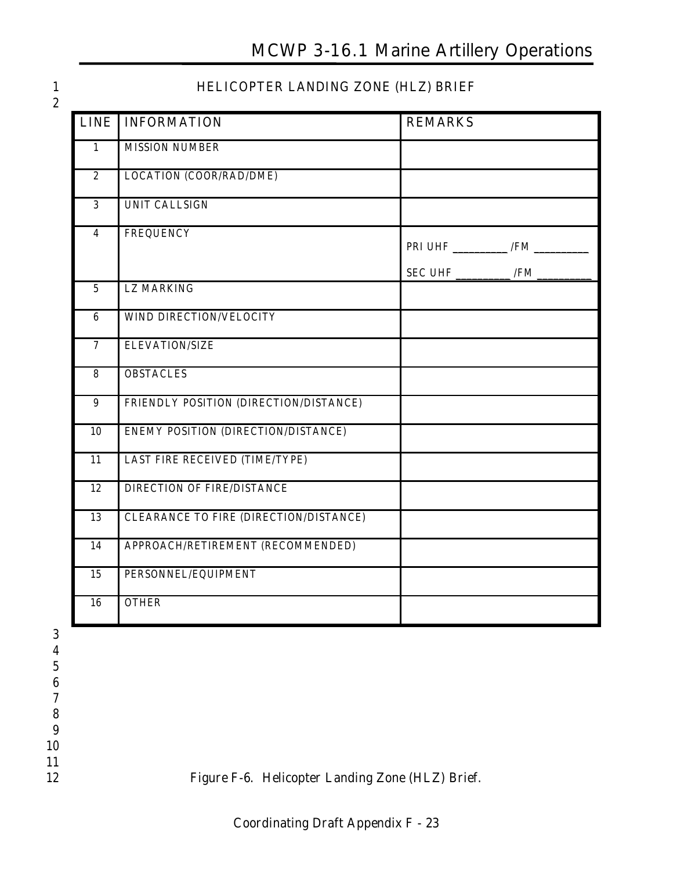### 1 **HELICOPTER LANDING ZONE (HLZ) BRIEF**

| <b>LINE</b>             | <b>INFORMATION</b>                     | <b>REMARKS</b>                                                              |
|-------------------------|----------------------------------------|-----------------------------------------------------------------------------|
| $\mathbf{1}$            | <b>MISSION NUMBER</b>                  |                                                                             |
| $\overline{2}$          | <b>LOCATION (COOR/RAD/DME)</b>         |                                                                             |
| $\overline{3}$          | <b>UNIT CALLSIGN</b>                   |                                                                             |
| $\overline{\mathbf{4}}$ | <b>FREQUENCY</b>                       |                                                                             |
|                         |                                        | $SEC \text{ UHF} \underline{\hspace{2cm} /FM} \underline{\hspace{2cm} /FM}$ |
| $\overline{5}$          | <b>LZ MARKING</b>                      |                                                                             |
| $\boldsymbol{6}$        | WIND DIRECTION/VELOCITY                |                                                                             |
| $\overline{7}$          | <b>ELEVATION/SIZE</b>                  |                                                                             |
| $\overline{8}$          | <b>OBSTACLES</b>                       |                                                                             |
| $\boldsymbol{9}$        | FRIENDLY POSITION (DIRECTION/DISTANCE) |                                                                             |
| 10                      | ENEMY POSITION (DIRECTION/DISTANCE)    |                                                                             |
| $\overline{11}$         | LAST FIRE RECEIVED (TIME/TYPE)         |                                                                             |
| 12                      | <b>DIRECTION OF FIRE/DISTANCE</b>      |                                                                             |
| 13                      | CLEARANCE TO FIRE (DIRECTION/DISTANCE) |                                                                             |
| 14                      | APPROACH/RETIREMENT (RECOMMENDED)      |                                                                             |
| 15                      | PERSONNEL/EQUIPMENT                    |                                                                             |
| 16                      | <b>OTHER</b>                           |                                                                             |

12 **Figure F-6. Helicopter Landing Zone (HLZ) Brief.**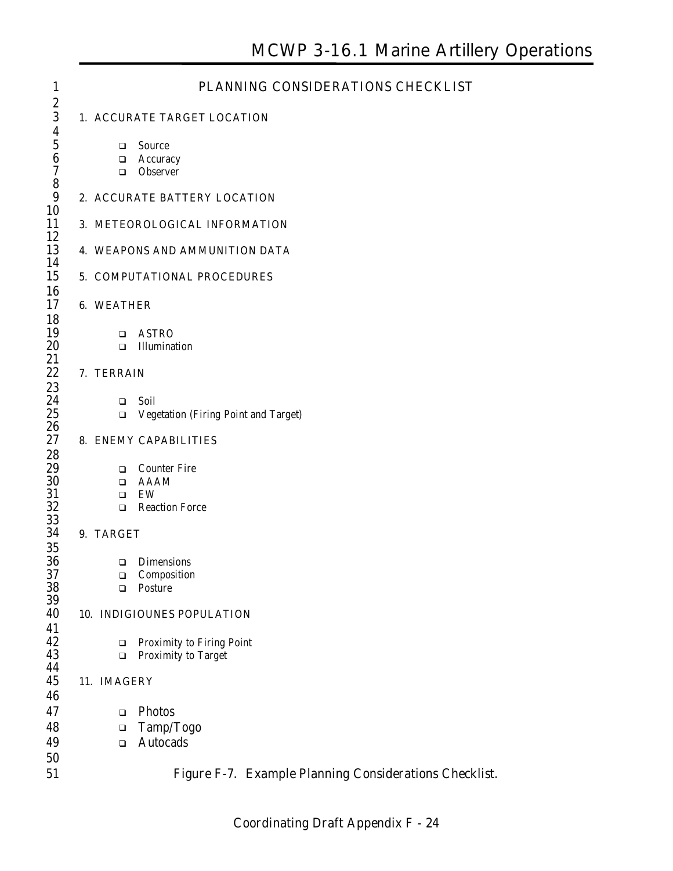| $\mathbf{1}$          |                   | PLANNING CONSIDERATIONS CHECKLIST                             |  |
|-----------------------|-------------------|---------------------------------------------------------------|--|
| $\boldsymbol{2}$      |                   |                                                               |  |
| 3<br>$\boldsymbol{4}$ |                   | 1. ACCURATE TARGET LOCATION                                   |  |
| $\overline{5}$        | □                 | Source                                                        |  |
| $\boldsymbol{6}$      | ❏                 | Accuracy                                                      |  |
| $\boldsymbol{7}$<br>8 | □                 | Observer                                                      |  |
| 9                     |                   | 2. ACCURATE BATTERY LOCATION                                  |  |
| 10                    |                   |                                                               |  |
| 11                    |                   | 3. METEOROLOGICAL INFORMATION                                 |  |
| 12<br>13              |                   | 4. WEAPONS AND AMMUNITION DATA                                |  |
| 14                    |                   |                                                               |  |
| 15                    |                   | 5. COMPUTATIONAL PROCEDURES                                   |  |
| 16                    |                   |                                                               |  |
| 17<br>18              | <b>6. WEATHER</b> |                                                               |  |
| 19                    | $\Box$            | <b>ASTRO</b>                                                  |  |
| 20                    | $\Box$            | Illumination                                                  |  |
| 21                    |                   |                                                               |  |
| 22<br>23              | 7. TERRAIN        |                                                               |  |
| 24                    | $\Box$            | Soil                                                          |  |
| 25                    | $\Box$            | Vegetation (Firing Point and Target)                          |  |
| 26<br>27              |                   | 8. ENEMY CAPABILITIES                                         |  |
| 28                    |                   |                                                               |  |
| 29                    | □                 | <b>Counter Fire</b>                                           |  |
| 30                    | □                 | <b>AAAM</b>                                                   |  |
| 31<br>32              | □<br>$\Box$       | EW<br><b>Reaction Force</b>                                   |  |
| 33                    |                   |                                                               |  |
| 34                    | 9. TARGET         |                                                               |  |
| 35<br>36              |                   |                                                               |  |
| 37                    | ❏<br>$\Box$       | <b>Dimensions</b><br>Composition                              |  |
| 38                    | □                 | Posture                                                       |  |
| 39                    |                   |                                                               |  |
| 40<br>41              |                   | 10. INDIGIOUNES POPULATION                                    |  |
| 42                    | □                 | <b>Proximity to Firing Point</b>                              |  |
| 43                    | $\Box$            | Proximity to Target                                           |  |
| 44<br>45              |                   |                                                               |  |
| 46                    | 11. IMAGERY       |                                                               |  |
| 47                    | $\Box$            | Photos                                                        |  |
| 48                    | ❏                 | Tamp/Togo                                                     |  |
| 49                    | $\Box$            | <b>Autocads</b>                                               |  |
| 50                    |                   |                                                               |  |
| 51                    |                   | <b>Figure F-7. Example Planning Considerations Checklist.</b> |  |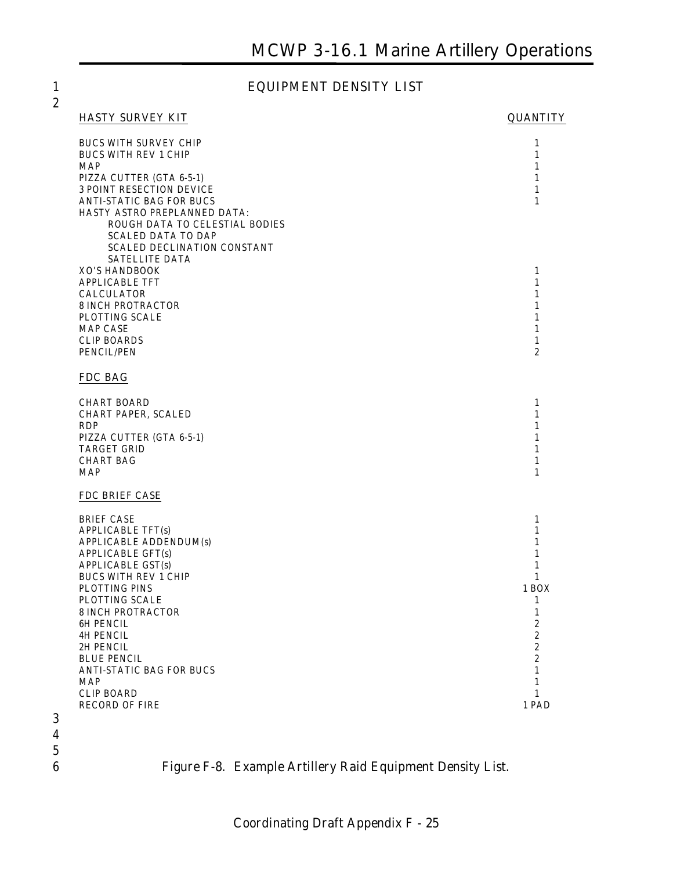#### 1 **EQUIPMENT DENSITY LIST**

#### **HASTY SURVEY KIT QUANTITY**

| <b>BUCS WITH SURVEY CHIP</b><br><b>BUCS WITH REV 1 CHIP</b><br><b>MAP</b><br>PIZZA CUTTER (GTA 6-5-1)<br><b>3 POINT RESECTION DEVICE</b><br><b>ANTI-STATIC BAG FOR BUCS</b><br>HASTY ASTRO PREPLANNED DATA:<br>ROUGH DATA TO CELESTIAL BODIES<br><b>SCALED DATA TO DAP</b><br><b>SCALED DECLINATION CONSTANT</b>                                                               | $\mathbf{1}$<br>$\mathbf{1}$<br>1<br>$\mathbf{1}$<br>$\mathbf{1}$<br>$\mathbf{1}$                                                                                                                  |
|--------------------------------------------------------------------------------------------------------------------------------------------------------------------------------------------------------------------------------------------------------------------------------------------------------------------------------------------------------------------------------|----------------------------------------------------------------------------------------------------------------------------------------------------------------------------------------------------|
| SATELLITE DATA<br><b>XO'S HANDBOOK</b><br><b>APPLICABLE TFT</b><br><b>CALCULATOR</b><br><b>8 INCH PROTRACTOR</b><br>PLOTTING SCALE<br><b>MAP CASE</b><br><b>CLIP BOARDS</b><br>PENCIL/PEN                                                                                                                                                                                      | $\mathbf{1}$<br>$\mathbf{1}$<br>$\mathbf{1}$<br>$\mathbf{1}$<br>1<br>$\mathbf{1}$<br>$\mathbf{1}$<br>$\boldsymbol{2}$                                                                              |
| FDC BAG                                                                                                                                                                                                                                                                                                                                                                        |                                                                                                                                                                                                    |
| <b>CHART BOARD</b><br>CHART PAPER, SCALED<br><b>RDP</b><br>PIZZA CUTTER (GTA 6-5-1)<br><b>TARGET GRID</b><br><b>CHART BAG</b><br><b>MAP</b>                                                                                                                                                                                                                                    | $\mathbf{1}$<br>$\mathbf{1}$<br>$\mathbf{1}$<br>$\mathbf{1}$<br>1<br>$\mathbf{1}$<br>1                                                                                                             |
| <b>FDC BRIEF CASE</b>                                                                                                                                                                                                                                                                                                                                                          |                                                                                                                                                                                                    |
| <b>BRIEF CASE</b><br><b>APPLICABLE TFT(s)</b><br><b>APPLICABLE ADDENDUM(s)</b><br><b>APPLICABLE GFT(s)</b><br><b>APPLICABLE GST(s)</b><br><b>BUCS WITH REV 1 CHIP</b><br>PLOTTING PINS<br>PLOTTING SCALE<br><b>8 INCH PROTRACTOR</b><br>6H PENCIL<br><b>4H PENCIL</b><br>2H PENCIL<br><b>BLUE PENCIL</b><br><b>ANTI-STATIC BAG FOR BUCS</b><br><b>MAP</b><br><b>CLIP BOARD</b> | $\mathbf{1}$<br>$\mathbf{1}$<br>$\mathbf{1}$<br>$\mathbf{1}$<br>$\mathbf{1}$<br>$\mathbf{1}$<br>1 BOX<br>$\mathbf{1}$<br>$\mathbf{1}$<br>2<br>2<br>2<br>$\boldsymbol{2}$<br>$\mathbf{1}$<br>1<br>1 |
| <b>RECORD OF FIRE</b>                                                                                                                                                                                                                                                                                                                                                          | 1 PAD                                                                                                                                                                                              |

- 
- 
- $\frac{5}{6}$

6 **Figure F-8. Example Artillery Raid Equipment Density List.**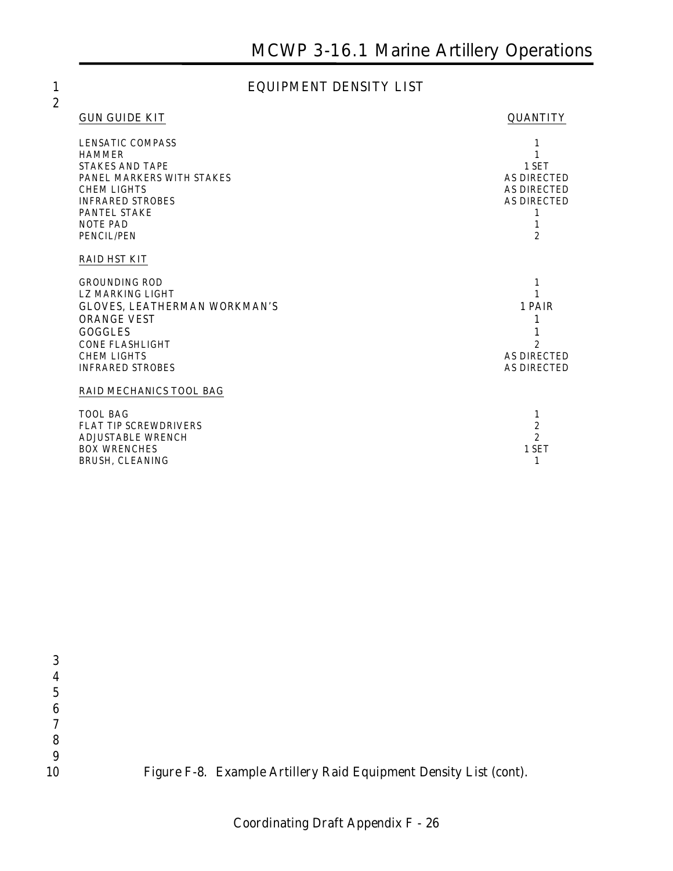### 1 **EQUIPMENT DENSITY LIST**

| <b>GUN GUIDE KIT</b> |  |
|----------------------|--|
|                      |  |

#### **GUANTITY**

| LENSATIC COMPASS<br><b>HAMMER</b><br><b>STAKES AND TAPE</b><br>PANEL MARKERS WITH STAKES<br><b>CHEM LIGHTS</b><br><b>INFRARED STROBES</b><br><b>PANTEL STAKE</b><br><b>NOTE PAD</b> | 1 SET<br><b>AS DIRECTED</b><br><b>AS DIRECTED</b><br><b>AS DIRECTED</b><br>1 |
|-------------------------------------------------------------------------------------------------------------------------------------------------------------------------------------|------------------------------------------------------------------------------|
| PENCIL/PEN                                                                                                                                                                          | $\overline{2}$                                                               |
| <b>RAID HST KIT</b>                                                                                                                                                                 |                                                                              |
| <b>GROUNDING ROD</b>                                                                                                                                                                | 1                                                                            |
| <b>LZ MARKING LIGHT</b>                                                                                                                                                             |                                                                              |
| <b>GLOVES, LEATHERMAN WORKMAN'S</b>                                                                                                                                                 | 1 PAIR                                                                       |
| <b>ORANGE VEST</b>                                                                                                                                                                  |                                                                              |
| <b>GOGGLES</b>                                                                                                                                                                      |                                                                              |
| <b>CONE FLASHLIGHT</b>                                                                                                                                                              |                                                                              |
| <b>CHEM LIGHTS</b>                                                                                                                                                                  | <b>AS DIRECTED</b>                                                           |
| <b>INFRARED STROBES</b>                                                                                                                                                             | <b>AS DIRECTED</b>                                                           |
| <b>RAID MECHANICS TOOL BAG</b>                                                                                                                                                      |                                                                              |
| <b>TOOL BAG</b>                                                                                                                                                                     | 1                                                                            |
| <b>FLAT TIP SCREWDRIVERS</b>                                                                                                                                                        | $\overline{c}$                                                               |
| <b>ADJUSTABLE WRENCH</b>                                                                                                                                                            | $\overline{2}$                                                               |
| <b>BOX WRENCHES</b>                                                                                                                                                                 | 1 SET                                                                        |
| BRUSH, CLEANING                                                                                                                                                                     | 1                                                                            |

| 10 | Figure F-8. Example Artillery Raid Equipment Density List (cont). |
|----|-------------------------------------------------------------------|
|    |                                                                   |
|    |                                                                   |
|    |                                                                   |
| 6  |                                                                   |
|    |                                                                   |
|    |                                                                   |
|    |                                                                   |
|    |                                                                   |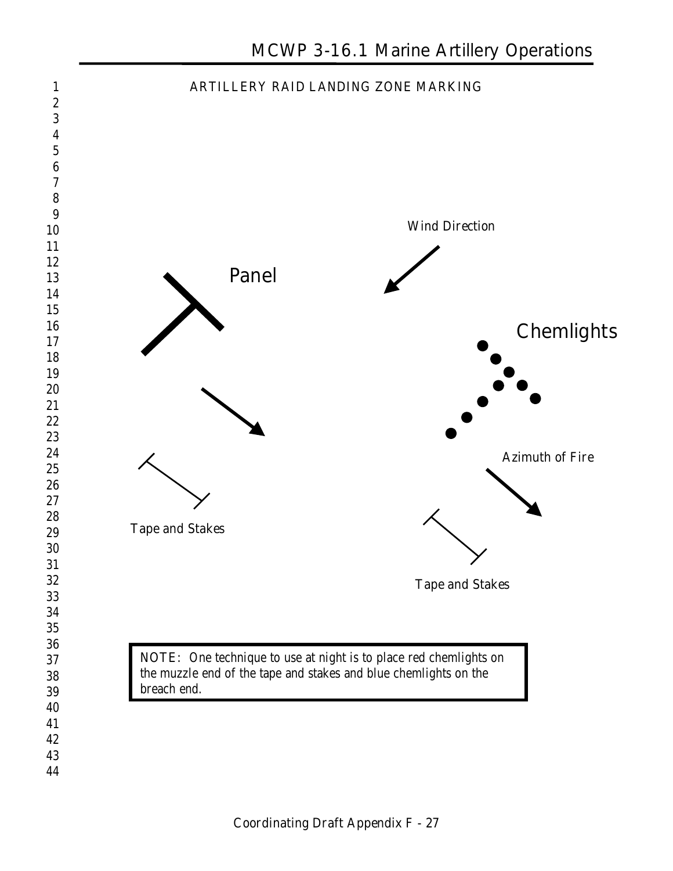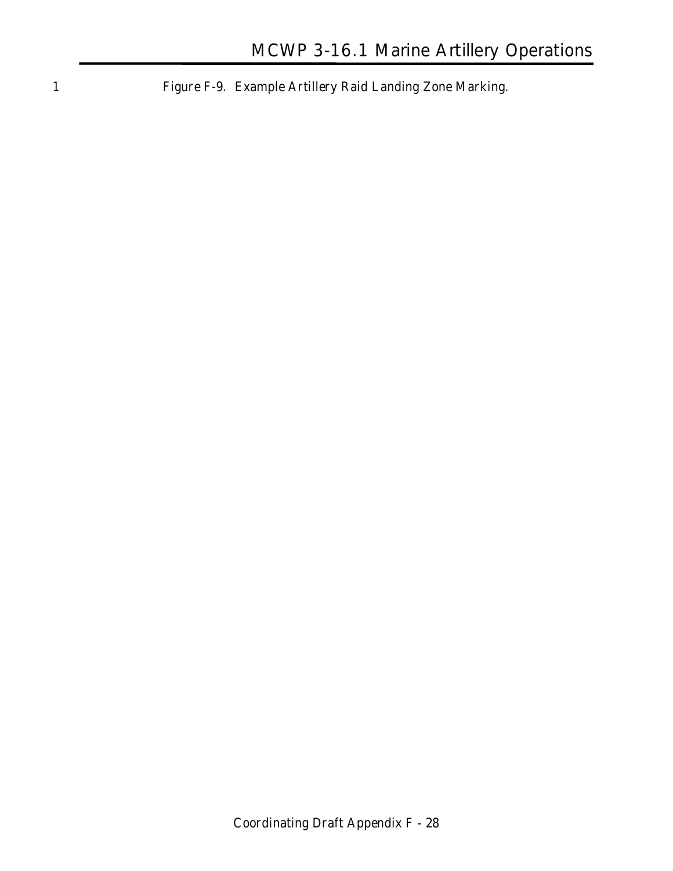1 **Figure F-9. Example Artillery Raid Landing Zone Marking.**